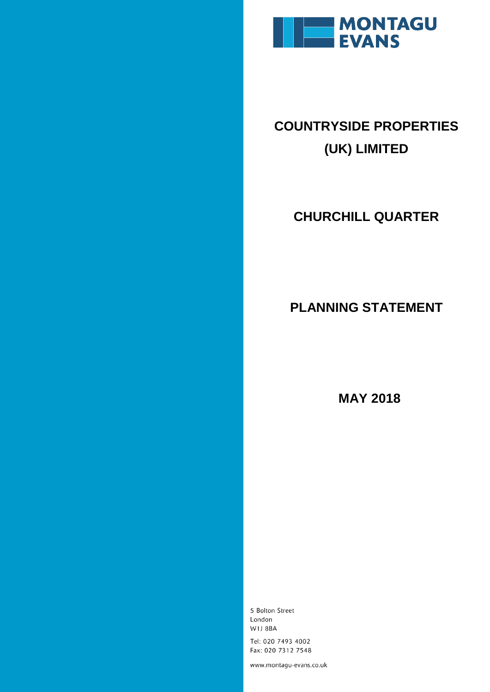

# **COUNTRYSIDE PROPERTIES (UK) LIMITED**

# **CHURCHILL QUARTER**

# **PLANNING STATEMENT**

 **MAY 2018**

5 Bolton Street London **W1J 8BA** Tel: 020 7493 4002 Fax: 020 7312 7548

www.montagu-evans.co.uk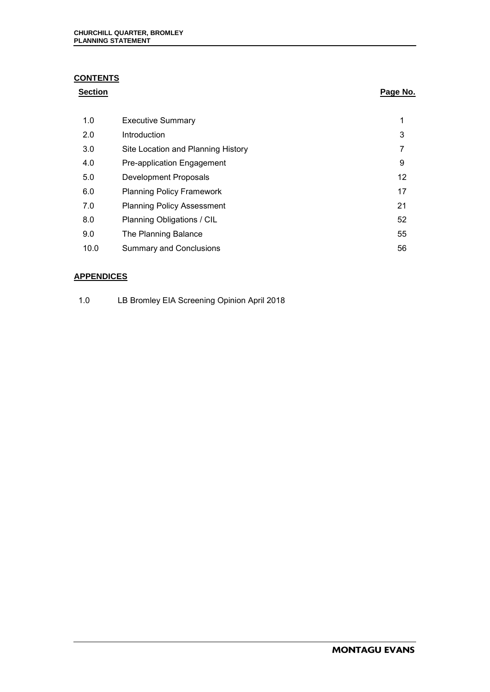# **CONTENTS**

#### **Section Page No. Page No.**

| 1.0  | <b>Executive Summary</b>           | 1  |
|------|------------------------------------|----|
| 2.0  | Introduction                       | 3  |
| 3.0  | Site Location and Planning History | 7  |
| 4.0  | Pre-application Engagement         | 9  |
| 5.0  | Development Proposals              | 12 |
| 6.0  | <b>Planning Policy Framework</b>   | 17 |
| 7.0  | <b>Planning Policy Assessment</b>  | 21 |
| 8.0  | Planning Obligations / CIL         | 52 |
| 9.0  | The Planning Balance               | 55 |
| 10.0 | <b>Summary and Conclusions</b>     | 56 |

# **APPENDICES**

1.0 LB Bromley EIA Screening Opinion April 2018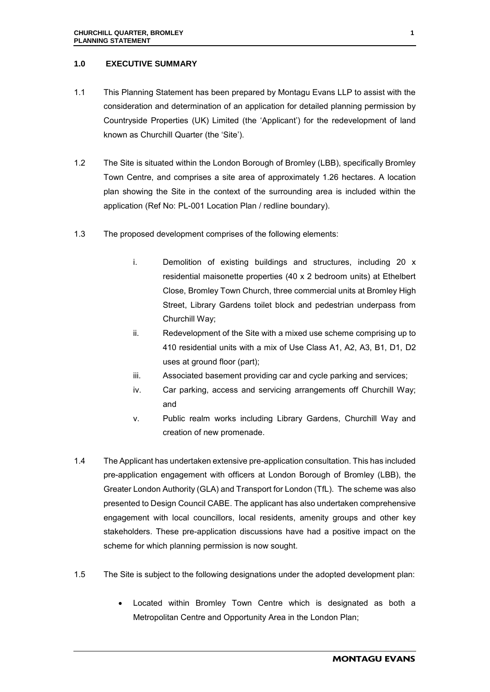#### **1.0 EXECUTIVE SUMMARY**

- 1.1 This Planning Statement has been prepared by Montagu Evans LLP to assist with the consideration and determination of an application for detailed planning permission by Countryside Properties (UK) Limited (the 'Applicant') for the redevelopment of land known as Churchill Quarter (the 'Site').
- 1.2 The Site is situated within the London Borough of Bromley (LBB), specifically Bromley Town Centre, and comprises a site area of approximately 1.26 hectares. A location plan showing the Site in the context of the surrounding area is included within the application (Ref No: PL-001 Location Plan / redline boundary).
- 1.3 The proposed development comprises of the following elements:
	- i. Demolition of existing buildings and structures, including 20 x residential maisonette properties (40 x 2 bedroom units) at Ethelbert Close, Bromley Town Church, three commercial units at Bromley High Street, Library Gardens toilet block and pedestrian underpass from Churchill Way;
	- ii. Redevelopment of the Site with a mixed use scheme comprising up to 410 residential units with a mix of Use Class A1, A2, A3, B1, D1, D2 uses at ground floor (part);
	- iii. Associated basement providing car and cycle parking and services;
	- iv. Car parking, access and servicing arrangements off Churchill Way; and
	- v. Public realm works including Library Gardens, Churchill Way and creation of new promenade.
- 1.4 The Applicant has undertaken extensive pre-application consultation. This has included pre-application engagement with officers at London Borough of Bromley (LBB), the Greater London Authority (GLA) and Transport for London (TfL). The scheme was also presented to Design Council CABE. The applicant has also undertaken comprehensive engagement with local councillors, local residents, amenity groups and other key stakeholders. These pre-application discussions have had a positive impact on the scheme for which planning permission is now sought.
- 1.5 The Site is subject to the following designations under the adopted development plan:
	- Located within Bromley Town Centre which is designated as both a Metropolitan Centre and Opportunity Area in the London Plan;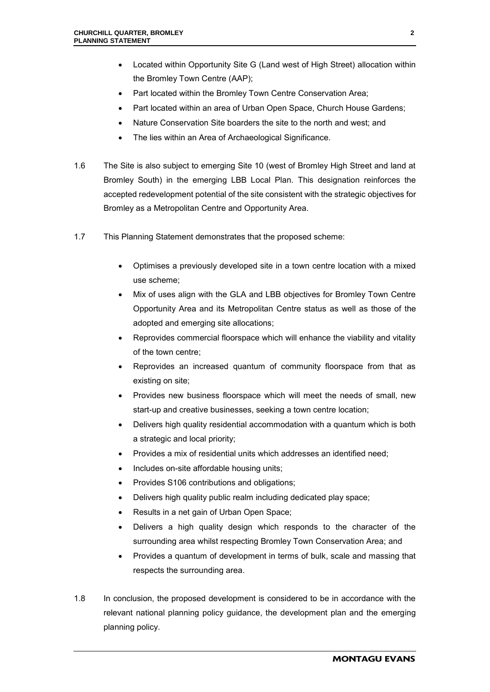- Located within Opportunity Site G (Land west of High Street) allocation within the Bromley Town Centre (AAP);
- Part located within the Bromley Town Centre Conservation Area;
- Part located within an area of Urban Open Space, Church House Gardens;
- Nature Conservation Site boarders the site to the north and west; and
- The lies within an Area of Archaeological Significance.
- 1.6 The Site is also subject to emerging Site 10 (west of Bromley High Street and land at Bromley South) in the emerging LBB Local Plan. This designation reinforces the accepted redevelopment potential of the site consistent with the strategic objectives for Bromley as a Metropolitan Centre and Opportunity Area.
- 1.7 This Planning Statement demonstrates that the proposed scheme:
	- Optimises a previously developed site in a town centre location with a mixed use scheme;
	- Mix of uses align with the GLA and LBB objectives for Bromley Town Centre Opportunity Area and its Metropolitan Centre status as well as those of the adopted and emerging site allocations;
	- Reprovides commercial floorspace which will enhance the viability and vitality of the town centre;
	- Reprovides an increased quantum of community floorspace from that as existing on site;
	- Provides new business floorspace which will meet the needs of small, new start-up and creative businesses, seeking a town centre location;
	- Delivers high quality residential accommodation with a quantum which is both a strategic and local priority;
	- Provides a mix of residential units which addresses an identified need;
	- Includes on-site affordable housing units;
	- Provides S106 contributions and obligations;
	- Delivers high quality public realm including dedicated play space;
	- Results in a net gain of Urban Open Space;
	- Delivers a high quality design which responds to the character of the surrounding area whilst respecting Bromley Town Conservation Area; and
	- Provides a quantum of development in terms of bulk, scale and massing that respects the surrounding area.
- 1.8 In conclusion, the proposed development is considered to be in accordance with the relevant national planning policy guidance, the development plan and the emerging planning policy.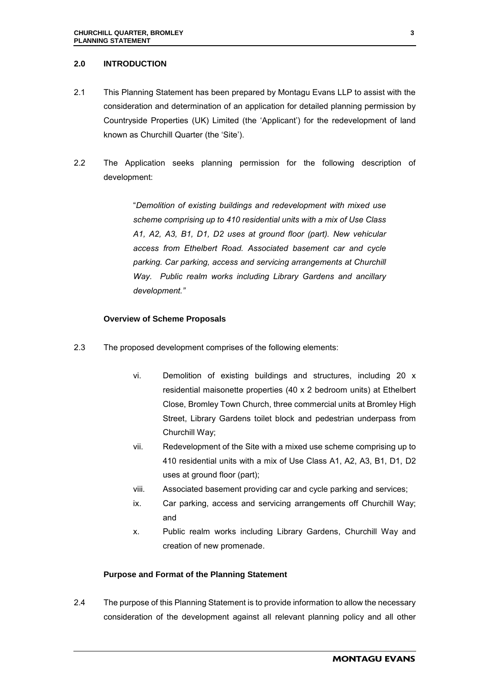#### **2.0 INTRODUCTION**

- 2.1 This Planning Statement has been prepared by Montagu Evans LLP to assist with the consideration and determination of an application for detailed planning permission by Countryside Properties (UK) Limited (the 'Applicant') for the redevelopment of land known as Churchill Quarter (the 'Site').
- 2.2 The Application seeks planning permission for the following description of development:

"*Demolition of existing buildings and redevelopment with mixed use scheme comprising up to 410 residential units with a mix of Use Class A1, A2, A3, B1, D1, D2 uses at ground floor (part). New vehicular access from Ethelbert Road. Associated basement car and cycle parking. Car parking, access and servicing arrangements at Churchill Way. Public realm works including Library Gardens and ancillary development."*

#### **Overview of Scheme Proposals**

- 2.3 The proposed development comprises of the following elements:
	- vi. Demolition of existing buildings and structures, including 20 x residential maisonette properties (40 x 2 bedroom units) at Ethelbert Close, Bromley Town Church, three commercial units at Bromley High Street, Library Gardens toilet block and pedestrian underpass from Churchill Way;
	- vii. Redevelopment of the Site with a mixed use scheme comprising up to 410 residential units with a mix of Use Class A1, A2, A3, B1, D1, D2 uses at ground floor (part);
	- viii. Associated basement providing car and cycle parking and services;
	- ix. Car parking, access and servicing arrangements off Churchill Way; and
	- x. Public realm works including Library Gardens, Churchill Way and creation of new promenade.

#### **Purpose and Format of the Planning Statement**

2.4 The purpose of this Planning Statement is to provide information to allow the necessary consideration of the development against all relevant planning policy and all other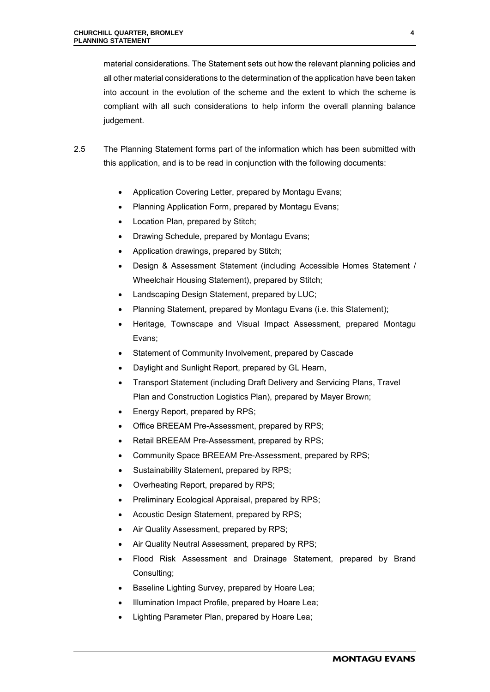material considerations. The Statement sets out how the relevant planning policies and all other material considerations to the determination of the application have been taken into account in the evolution of the scheme and the extent to which the scheme is compliant with all such considerations to help inform the overall planning balance judgement.

- 2.5 The Planning Statement forms part of the information which has been submitted with this application, and is to be read in conjunction with the following documents:
	- Application Covering Letter, prepared by Montagu Evans;
	- Planning Application Form, prepared by Montagu Evans;
	- Location Plan, prepared by Stitch;
	- Drawing Schedule, prepared by Montagu Evans;
	- Application drawings, prepared by Stitch;
	- Design & Assessment Statement (including Accessible Homes Statement / Wheelchair Housing Statement), prepared by Stitch;
	- Landscaping Design Statement, prepared by LUC;
	- Planning Statement, prepared by Montagu Evans (i.e. this Statement);
	- Heritage, Townscape and Visual Impact Assessment, prepared Montagu Evans;
	- Statement of Community Involvement, prepared by Cascade
	- Daylight and Sunlight Report, prepared by GL Hearn,
	- Transport Statement (including Draft Delivery and Servicing Plans, Travel Plan and Construction Logistics Plan), prepared by Mayer Brown;
	- Energy Report, prepared by RPS;
	- Office BREEAM Pre-Assessment, prepared by RPS;
	- Retail BREEAM Pre-Assessment, prepared by RPS;
	- Community Space BREEAM Pre-Assessment, prepared by RPS;
	- Sustainability Statement, prepared by RPS;
	- Overheating Report, prepared by RPS;
	- Preliminary Ecological Appraisal, prepared by RPS;
	- Acoustic Design Statement, prepared by RPS;
	- Air Quality Assessment, prepared by RPS;
	- Air Quality Neutral Assessment, prepared by RPS;
	- Flood Risk Assessment and Drainage Statement, prepared by Brand Consulting;
	- Baseline Lighting Survey, prepared by Hoare Lea;
	- Illumination Impact Profile, prepared by Hoare Lea;
	- Lighting Parameter Plan, prepared by Hoare Lea;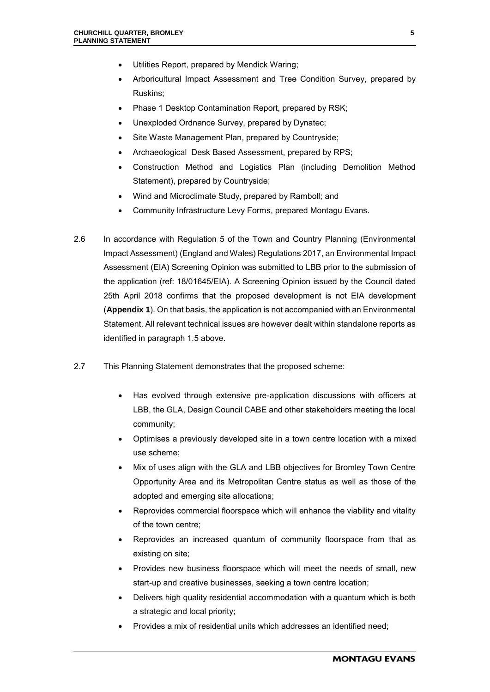- Utilities Report, prepared by Mendick Waring;
- Arboricultural Impact Assessment and Tree Condition Survey, prepared by Ruskins;
- Phase 1 Desktop Contamination Report, prepared by RSK;
- Unexploded Ordnance Survey, prepared by Dynatec;
- Site Waste Management Plan, prepared by Countryside;
- Archaeological Desk Based Assessment, prepared by RPS;
- Construction Method and Logistics Plan (including Demolition Method Statement), prepared by Countryside;
- Wind and Microclimate Study, prepared by Ramboll; and
- Community Infrastructure Levy Forms, prepared Montagu Evans.
- 2.6 In accordance with Regulation 5 of the Town and Country Planning (Environmental Impact Assessment) (England and Wales) Regulations 2017, an Environmental Impact Assessment (EIA) Screening Opinion was submitted to LBB prior to the submission of the application (ref: 18/01645/EIA). A Screening Opinion issued by the Council dated 25th April 2018 confirms that the proposed development is not EIA development (**Appendix 1**). On that basis, the application is not accompanied with an Environmental Statement. All relevant technical issues are however dealt within standalone reports as identified in paragraph 1.5 above.
- 2.7 This Planning Statement demonstrates that the proposed scheme:
	- Has evolved through extensive pre-application discussions with officers at LBB, the GLA, Design Council CABE and other stakeholders meeting the local community;
	- Optimises a previously developed site in a town centre location with a mixed use scheme;
	- Mix of uses align with the GLA and LBB objectives for Bromley Town Centre Opportunity Area and its Metropolitan Centre status as well as those of the adopted and emerging site allocations;
	- Reprovides commercial floorspace which will enhance the viability and vitality of the town centre;
	- Reprovides an increased quantum of community floorspace from that as existing on site;
	- Provides new business floorspace which will meet the needs of small, new start-up and creative businesses, seeking a town centre location;
	- Delivers high quality residential accommodation with a quantum which is both a strategic and local priority;
	- Provides a mix of residential units which addresses an identified need;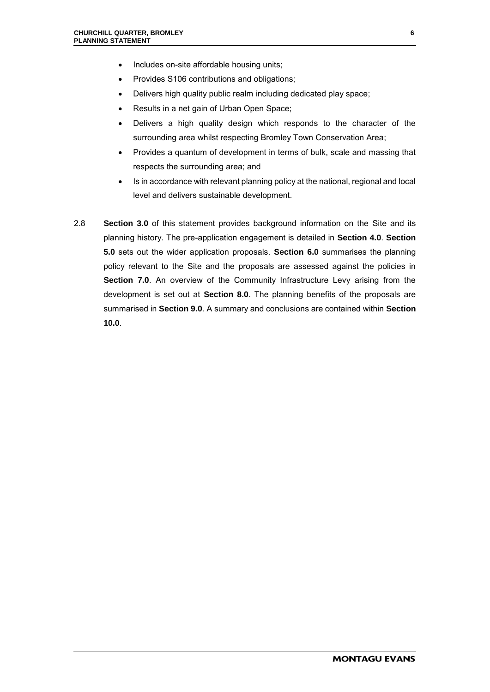- Includes on-site affordable housing units;
- Provides S106 contributions and obligations;
- Delivers high quality public realm including dedicated play space;
- Results in a net gain of Urban Open Space;
- Delivers a high quality design which responds to the character of the surrounding area whilst respecting Bromley Town Conservation Area;
- Provides a quantum of development in terms of bulk, scale and massing that respects the surrounding area; and
- Is in accordance with relevant planning policy at the national, regional and local level and delivers sustainable development.
- 2.8 **Section 3.0** of this statement provides background information on the Site and its planning history. The pre-application engagement is detailed in **Section 4.0**. **Section 5.0** sets out the wider application proposals. **Section 6.0** summarises the planning policy relevant to the Site and the proposals are assessed against the policies in **Section 7.0**. An overview of the Community Infrastructure Levy arising from the development is set out at **Section 8.0**. The planning benefits of the proposals are summarised in **Section 9.0**. A summary and conclusions are contained within **Section 10.0**.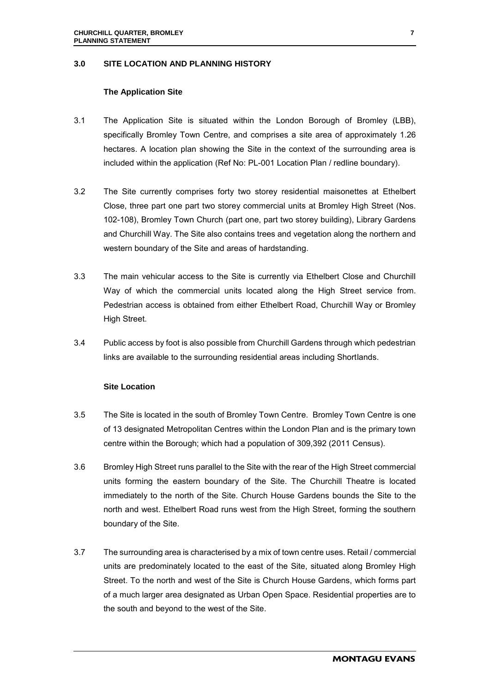#### **3.0 SITE LOCATION AND PLANNING HISTORY**

#### **The Application Site**

- 3.1 The Application Site is situated within the London Borough of Bromley (LBB), specifically Bromley Town Centre, and comprises a site area of approximately 1.26 hectares. A location plan showing the Site in the context of the surrounding area is included within the application (Ref No: PL-001 Location Plan / redline boundary).
- 3.2 The Site currently comprises forty two storey residential maisonettes at Ethelbert Close, three part one part two storey commercial units at Bromley High Street (Nos. 102-108), Bromley Town Church (part one, part two storey building), Library Gardens and Churchill Way. The Site also contains trees and vegetation along the northern and western boundary of the Site and areas of hardstanding.
- 3.3 The main vehicular access to the Site is currently via Ethelbert Close and Churchill Way of which the commercial units located along the High Street service from. Pedestrian access is obtained from either Ethelbert Road, Churchill Way or Bromley High Street.
- 3.4 Public access by foot is also possible from Churchill Gardens through which pedestrian links are available to the surrounding residential areas including Shortlands.

#### **Site Location**

- 3.5 The Site is located in the south of Bromley Town Centre. Bromley Town Centre is one of 13 designated Metropolitan Centres within the London Plan and is the primary town centre within the Borough; which had a population of 309,392 (2011 Census).
- 3.6 Bromley High Street runs parallel to the Site with the rear of the High Street commercial units forming the eastern boundary of the Site. The Churchill Theatre is located immediately to the north of the Site. Church House Gardens bounds the Site to the north and west. Ethelbert Road runs west from the High Street, forming the southern boundary of the Site.
- 3.7 The surrounding area is characterised by a mix of town centre uses. Retail / commercial units are predominately located to the east of the Site, situated along Bromley High Street. To the north and west of the Site is Church House Gardens, which forms part of a much larger area designated as Urban Open Space. Residential properties are to the south and beyond to the west of the Site.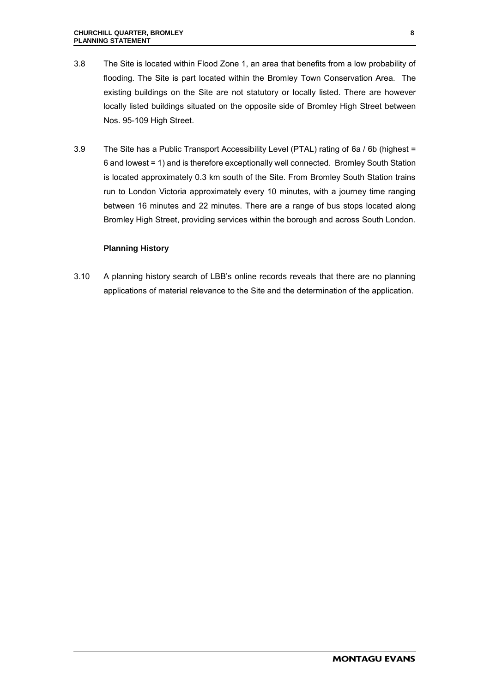- 3.8 The Site is located within Flood Zone 1, an area that benefits from a low probability of flooding. The Site is part located within the Bromley Town Conservation Area. The existing buildings on the Site are not statutory or locally listed. There are however locally listed buildings situated on the opposite side of Bromley High Street between Nos. 95-109 High Street.
- 3.9 The Site has a Public Transport Accessibility Level (PTAL) rating of 6a / 6b (highest = 6 and lowest = 1) and is therefore exceptionally well connected. Bromley South Station is located approximately 0.3 km south of the Site. From Bromley South Station trains run to London Victoria approximately every 10 minutes, with a journey time ranging between 16 minutes and 22 minutes. There are a range of bus stops located along Bromley High Street, providing services within the borough and across South London.

# **Planning History**

3.10 A planning history search of LBB's online records reveals that there are no planning applications of material relevance to the Site and the determination of the application.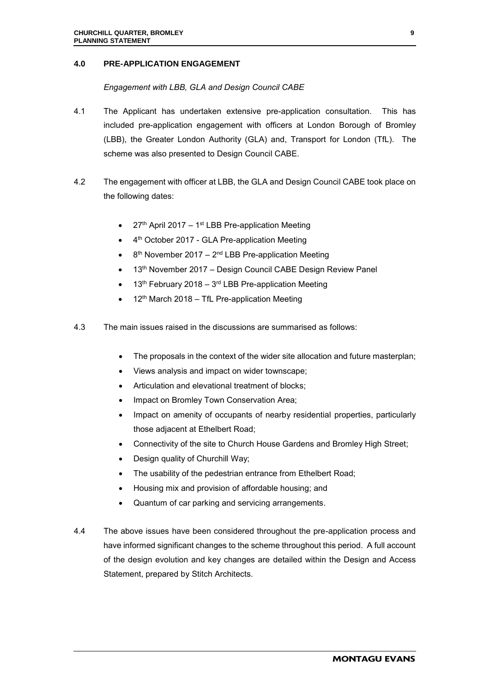#### **4.0 PRE-APPLICATION ENGAGEMENT**

#### *Engagement with LBB, GLA and Design Council CABE*

- 4.1 The Applicant has undertaken extensive pre-application consultation. This has included pre-application engagement with officers at London Borough of Bromley (LBB), the Greater London Authority (GLA) and, Transport for London (TfL). The scheme was also presented to Design Council CABE.
- 4.2 The engagement with officer at LBB, the GLA and Design Council CABE took place on the following dates:
	- $27<sup>th</sup>$  April 2017 1<sup>st</sup> LBB Pre-application Meeting
	- 4th October 2017 GLA Pre-application Meeting
	- 8<sup>th</sup> November 2017 2<sup>nd</sup> LBB Pre-application Meeting
	- 13th November 2017 Design Council CABE Design Review Panel
	- 13<sup>th</sup> February 2018 3<sup>rd</sup> LBB Pre-application Meeting
	- 12<sup>th</sup> March 2018 TfL Pre-application Meeting
- 4.3 The main issues raised in the discussions are summarised as follows:
	- The proposals in the context of the wider site allocation and future masterplan;
	- Views analysis and impact on wider townscape;
	- Articulation and elevational treatment of blocks;
	- Impact on Bromley Town Conservation Area;
	- Impact on amenity of occupants of nearby residential properties, particularly those adjacent at Ethelbert Road;
	- Connectivity of the site to Church House Gardens and Bromley High Street;
	- Design quality of Churchill Way;
	- The usability of the pedestrian entrance from Ethelbert Road;
	- Housing mix and provision of affordable housing; and
	- Quantum of car parking and servicing arrangements.
- 4.4 The above issues have been considered throughout the pre-application process and have informed significant changes to the scheme throughout this period. A full account of the design evolution and key changes are detailed within the Design and Access Statement, prepared by Stitch Architects.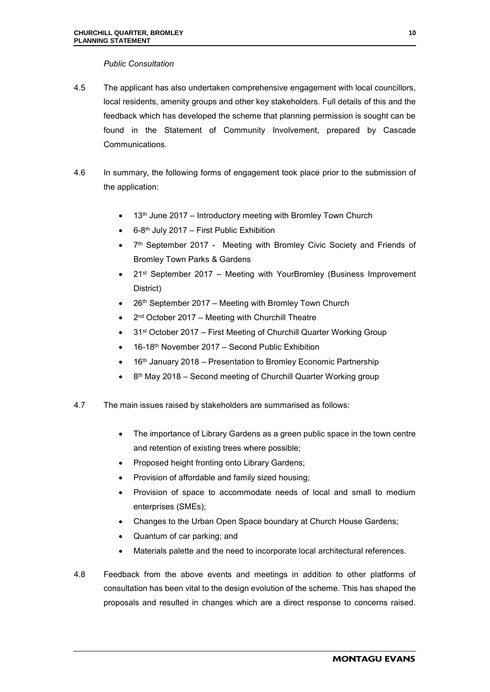#### *Public Consultation*

- 4.5 The applicant has also undertaken comprehensive engagement with local councillors, local residents, amenity groups and other key stakeholders. Full details of this and the feedback which has developed the scheme that planning permission is sought can be found in the Statement of Community Involvement, prepared by Cascade Communications.
- 4.6 In summary, the following forms of engagement took place prior to the submission of the application:
	- 13<sup>th</sup> June 2017 Introductory meeting with Bromley Town Church
	- 6-8th July 2017 First Public Exhibition
	- 7<sup>th</sup> September 2017 Meeting with Bromley Civic Society and Friends of Bromley Town Parks & Gardens
	- 21<sup>st</sup> September 2017 Meeting with YourBromley (Business Improvement District)
	- 26th September 2017 Meeting with Bromley Town Church
	- 2<sup>nd</sup> October 2017 Meeting with Churchill Theatre
	- 31st October 2017 First Meeting of Churchill Quarter Working Group
	- 16-18th November 2017 Second Public Exhibition
	- 16th January 2018 Presentation to Bromley Economic Partnership
	- 8<sup>th</sup> May 2018 Second meeting of Churchill Quarter Working group
- 4.7 The main issues raised by stakeholders are summarised as follows:
	- The importance of Library Gardens as a green public space in the town centre and retention of existing trees where possible;
	- Proposed height fronting onto Library Gardens;
	- Provision of affordable and family sized housing;
	- Provision of space to accommodate needs of local and small to medium enterprises (SMEs);
	- Changes to the Urban Open Space boundary at Church House Gardens;
	- Quantum of car parking; and
	- Materials palette and the need to incorporate local architectural references.
- 4.8 Feedback from the above events and meetings in addition to other platforms of consultation has been vital to the design evolution of the scheme. This has shaped the proposals and resulted in changes which are a direct response to concerns raised.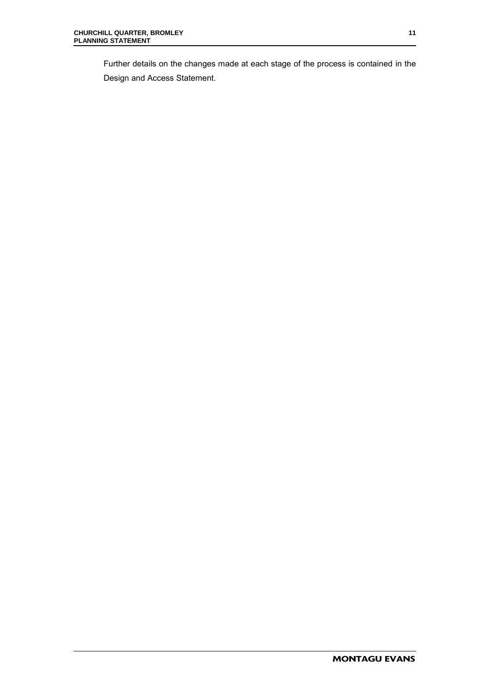Further details on the changes made at each stage of the process is contained in the Design and Access Statement.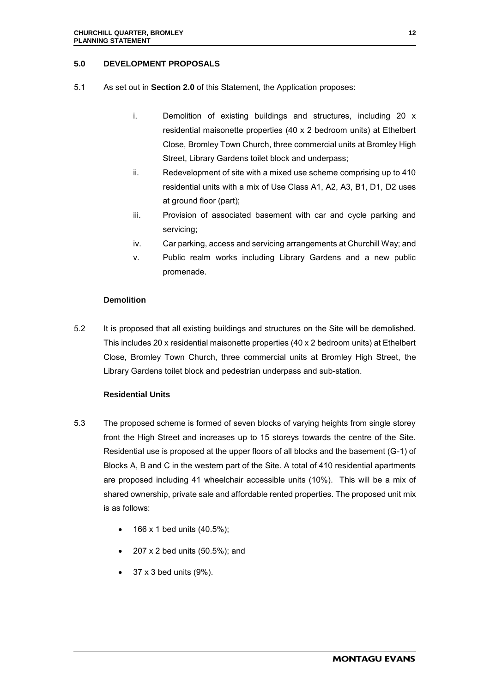#### **5.0 DEVELOPMENT PROPOSALS**

- 5.1 As set out in **Section 2.0** of this Statement, the Application proposes:
	- i. Demolition of existing buildings and structures, including 20 x residential maisonette properties (40 x 2 bedroom units) at Ethelbert Close, Bromley Town Church, three commercial units at Bromley High Street, Library Gardens toilet block and underpass;
	- ii. Redevelopment of site with a mixed use scheme comprising up to 410 residential units with a mix of Use Class A1, A2, A3, B1, D1, D2 uses at ground floor (part);
	- iii. Provision of associated basement with car and cycle parking and servicing;
	- iv. Car parking, access and servicing arrangements at Churchill Way; and
	- v. Public realm works including Library Gardens and a new public promenade.

#### **Demolition**

5.2 It is proposed that all existing buildings and structures on the Site will be demolished. This includes 20 x residential maisonette properties (40 x 2 bedroom units) at Ethelbert Close, Bromley Town Church, three commercial units at Bromley High Street, the Library Gardens toilet block and pedestrian underpass and sub-station.

### **Residential Units**

- 5.3 The proposed scheme is formed of seven blocks of varying heights from single storey front the High Street and increases up to 15 storeys towards the centre of the Site. Residential use is proposed at the upper floors of all blocks and the basement (G-1) of Blocks A, B and C in the western part of the Site. A total of 410 residential apartments are proposed including 41 wheelchair accessible units (10%). This will be a mix of shared ownership, private sale and affordable rented properties. The proposed unit mix is as follows:
	- 166 x 1 bed units (40.5%);
	- 207 x 2 bed units (50.5%); and
	- 37 x 3 bed units (9%).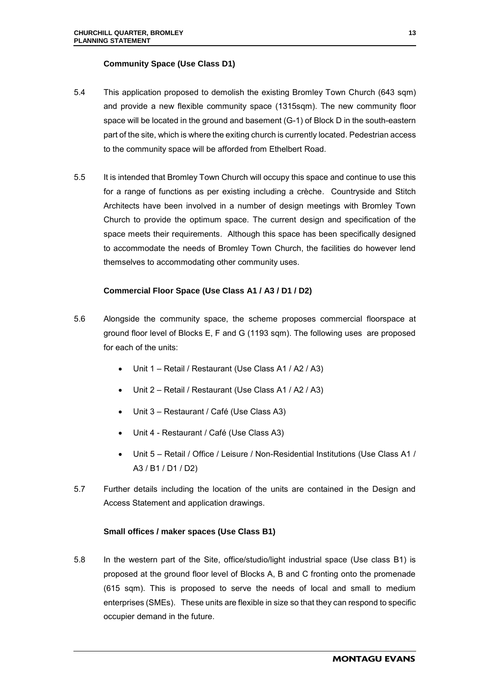#### **Community Space (Use Class D1)**

- 5.4 This application proposed to demolish the existing Bromley Town Church (643 sqm) and provide a new flexible community space (1315sqm). The new community floor space will be located in the ground and basement (G-1) of Block D in the south-eastern part of the site, which is where the exiting church is currently located. Pedestrian access to the community space will be afforded from Ethelbert Road.
- 5.5 It is intended that Bromley Town Church will occupy this space and continue to use this for a range of functions as per existing including a crèche. Countryside and Stitch Architects have been involved in a number of design meetings with Bromley Town Church to provide the optimum space. The current design and specification of the space meets their requirements. Although this space has been specifically designed to accommodate the needs of Bromley Town Church, the facilities do however lend themselves to accommodating other community uses.

#### **Commercial Floor Space (Use Class A1 / A3 / D1 / D2)**

- 5.6 Alongside the community space, the scheme proposes commercial floorspace at ground floor level of Blocks E, F and G (1193 sqm). The following uses are proposed for each of the units:
	- Unit 1 Retail / Restaurant (Use Class A1 / A2 / A3)
	- Unit 2 Retail / Restaurant (Use Class A1 / A2 / A3)
	- Unit 3 Restaurant / Café (Use Class A3)
	- Unit 4 Restaurant / Café (Use Class A3)
	- Unit 5 Retail / Office / Leisure / Non-Residential Institutions (Use Class A1 / A3 / B1 / D1 / D2)
- 5.7 Further details including the location of the units are contained in the Design and Access Statement and application drawings.

#### **Small offices / maker spaces (Use Class B1)**

5.8 In the western part of the Site, office/studio/light industrial space (Use class B1) is proposed at the ground floor level of Blocks A, B and C fronting onto the promenade (615 sqm). This is proposed to serve the needs of local and small to medium enterprises (SMEs). These units are flexible in size so that they can respond to specific occupier demand in the future.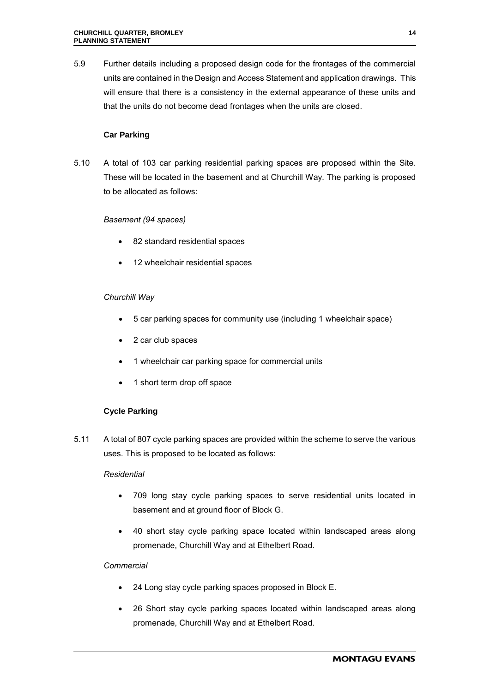5.9 Further details including a proposed design code for the frontages of the commercial units are contained in the Design and Access Statement and application drawings. This will ensure that there is a consistency in the external appearance of these units and that the units do not become dead frontages when the units are closed.

# **Car Parking**

5.10 A total of 103 car parking residential parking spaces are proposed within the Site. These will be located in the basement and at Churchill Way. The parking is proposed to be allocated as follows:

# *Basement (94 spaces)*

- 82 standard residential spaces
- 12 wheelchair residential spaces

# *Churchill Way*

- 5 car parking spaces for community use (including 1 wheelchair space)
- 2 car club spaces
- 1 wheelchair car parking space for commercial units
- 1 short term drop off space

# **Cycle Parking**

5.11 A total of 807 cycle parking spaces are provided within the scheme to serve the various uses. This is proposed to be located as follows:

# *Residential*

- 709 long stay cycle parking spaces to serve residential units located in basement and at ground floor of Block G.
- 40 short stay cycle parking space located within landscaped areas along promenade, Churchill Way and at Ethelbert Road.

# *Commercial*

- 24 Long stay cycle parking spaces proposed in Block E.
- 26 Short stay cycle parking spaces located within landscaped areas along promenade, Churchill Way and at Ethelbert Road.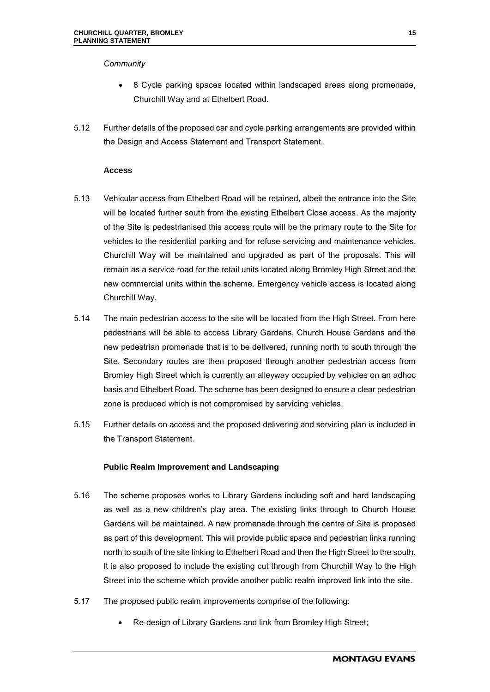#### *Community*

- 8 Cycle parking spaces located within landscaped areas along promenade, Churchill Way and at Ethelbert Road.
- 5.12 Further details of the proposed car and cycle parking arrangements are provided within the Design and Access Statement and Transport Statement.

#### **Access**

- 5.13 Vehicular access from Ethelbert Road will be retained, albeit the entrance into the Site will be located further south from the existing Ethelbert Close access. As the majority of the Site is pedestrianised this access route will be the primary route to the Site for vehicles to the residential parking and for refuse servicing and maintenance vehicles. Churchill Way will be maintained and upgraded as part of the proposals. This will remain as a service road for the retail units located along Bromley High Street and the new commercial units within the scheme. Emergency vehicle access is located along Churchill Way.
- 5.14 The main pedestrian access to the site will be located from the High Street. From here pedestrians will be able to access Library Gardens, Church House Gardens and the new pedestrian promenade that is to be delivered, running north to south through the Site. Secondary routes are then proposed through another pedestrian access from Bromley High Street which is currently an alleyway occupied by vehicles on an adhoc basis and Ethelbert Road. The scheme has been designed to ensure a clear pedestrian zone is produced which is not compromised by servicing vehicles.
- 5.15 Further details on access and the proposed delivering and servicing plan is included in the Transport Statement.

#### **Public Realm Improvement and Landscaping**

- 5.16 The scheme proposes works to Library Gardens including soft and hard landscaping as well as a new children's play area. The existing links through to Church House Gardens will be maintained. A new promenade through the centre of Site is proposed as part of this development. This will provide public space and pedestrian links running north to south of the site linking to Ethelbert Road and then the High Street to the south. It is also proposed to include the existing cut through from Churchill Way to the High Street into the scheme which provide another public realm improved link into the site.
- 5.17 The proposed public realm improvements comprise of the following:
	- Re-design of Library Gardens and link from Bromley High Street;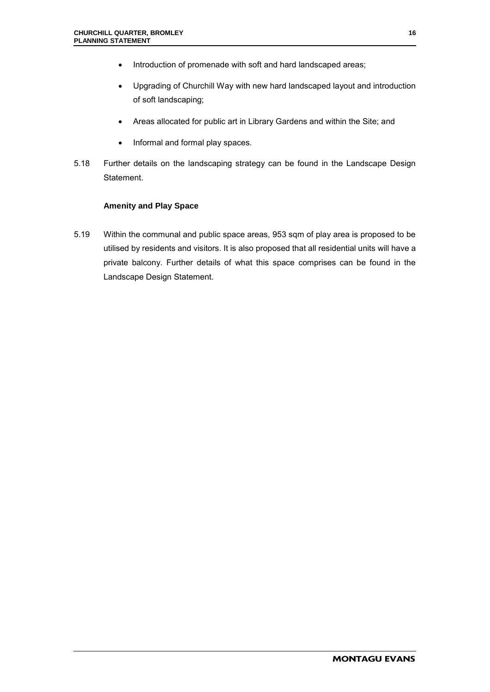- Introduction of promenade with soft and hard landscaped areas;
- Upgrading of Churchill Way with new hard landscaped layout and introduction of soft landscaping;
- Areas allocated for public art in Library Gardens and within the Site; and
- Informal and formal play spaces.
- 5.18 Further details on the landscaping strategy can be found in the Landscape Design Statement.

#### **Amenity and Play Space**

5.19 Within the communal and public space areas, 953 sqm of play area is proposed to be utilised by residents and visitors. It is also proposed that all residential units will have a private balcony. Further details of what this space comprises can be found in the Landscape Design Statement.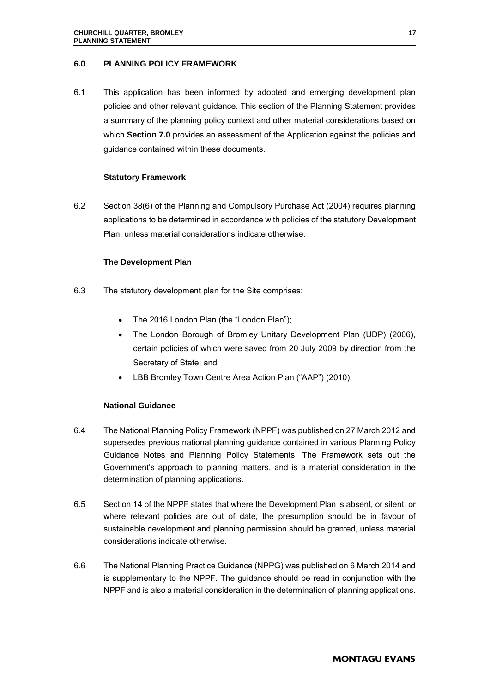#### **6.0 PLANNING POLICY FRAMEWORK**

6.1 This application has been informed by adopted and emerging development plan policies and other relevant guidance. This section of the Planning Statement provides a summary of the planning policy context and other material considerations based on which **Section 7.0** provides an assessment of the Application against the policies and guidance contained within these documents.

#### **Statutory Framework**

6.2 Section 38(6) of the Planning and Compulsory Purchase Act (2004) requires planning applications to be determined in accordance with policies of the statutory Development Plan, unless material considerations indicate otherwise.

#### **The Development Plan**

- 6.3 The statutory development plan for the Site comprises:
	- The 2016 London Plan (the "London Plan");
	- The London Borough of Bromley Unitary Development Plan (UDP) (2006), certain policies of which were saved from 20 July 2009 by direction from the Secretary of State; and
	- LBB Bromley Town Centre Area Action Plan ("AAP") (2010).

#### **National Guidance**

- 6.4 The National Planning Policy Framework (NPPF) was published on 27 March 2012 and supersedes previous national planning guidance contained in various Planning Policy Guidance Notes and Planning Policy Statements. The Framework sets out the Government's approach to planning matters, and is a material consideration in the determination of planning applications.
- 6.5 Section 14 of the NPPF states that where the Development Plan is absent, or silent, or where relevant policies are out of date, the presumption should be in favour of sustainable development and planning permission should be granted, unless material considerations indicate otherwise.
- 6.6 The National Planning Practice Guidance (NPPG) was published on 6 March 2014 and is supplementary to the NPPF. The guidance should be read in conjunction with the NPPF and is also a material consideration in the determination of planning applications.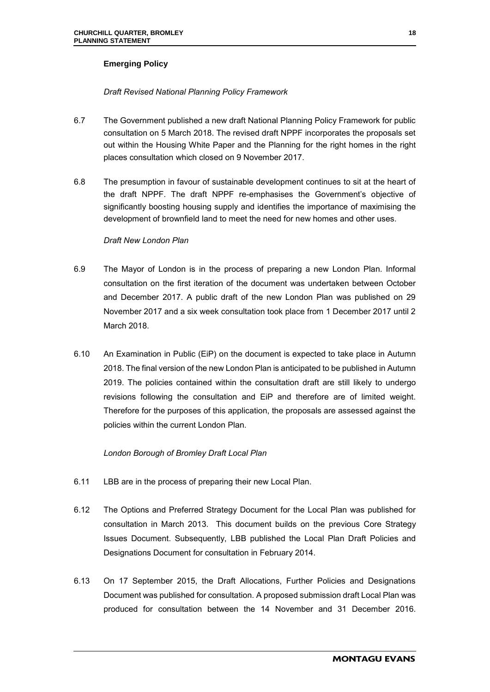### **Emerging Policy**

#### *Draft Revised National Planning Policy Framework*

- 6.7 The Government published a new draft National Planning Policy Framework for public consultation on 5 March 2018. The revised draft NPPF incorporates the proposals set out within the Housing White Paper and the Planning for the right homes in the right places consultation which closed on 9 November 2017.
- 6.8 The presumption in favour of sustainable development continues to sit at the heart of the draft NPPF. The draft NPPF re-emphasises the Government's objective of significantly boosting housing supply and identifies the importance of maximising the development of brownfield land to meet the need for new homes and other uses.

#### *Draft New London Plan*

- 6.9 The Mayor of London is in the process of preparing a new London Plan. Informal consultation on the first iteration of the document was undertaken between October and December 2017. A public draft of the new London Plan was published on 29 November 2017 and a six week consultation took place from 1 December 2017 until 2 March 2018.
- 6.10 An Examination in Public (EiP) on the document is expected to take place in Autumn 2018. The final version of the new London Plan is anticipated to be published in Autumn 2019. The policies contained within the consultation draft are still likely to undergo revisions following the consultation and EiP and therefore are of limited weight. Therefore for the purposes of this application, the proposals are assessed against the policies within the current London Plan.

### *London Borough of Bromley Draft Local Plan*

- 6.11 LBB are in the process of preparing their new Local Plan.
- 6.12 The Options and Preferred Strategy Document for the Local Plan was published for consultation in March 2013. This document builds on the previous Core Strategy Issues Document. Subsequently, LBB published the Local Plan Draft Policies and Designations Document for consultation in February 2014.
- 6.13 On 17 September 2015, the Draft Allocations, Further Policies and Designations Document was published for consultation. A proposed submission draft Local Plan was produced for consultation between the 14 November and 31 December 2016.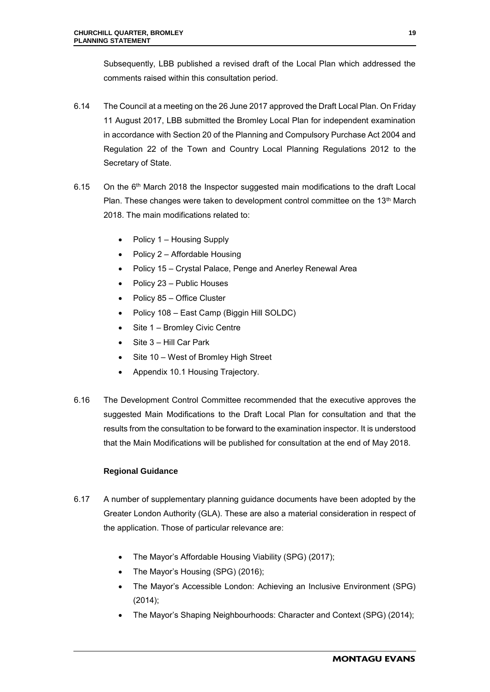Subsequently, LBB published a revised draft of the Local Plan which addressed the comments raised within this consultation period.

- 6.14 The Council at a meeting on the 26 June 2017 approved the Draft Local Plan. On Friday 11 August 2017, LBB submitted the Bromley Local Plan for independent examination in accordance with Section 20 of the Planning and Compulsory Purchase Act 2004 and Regulation 22 of the Town and Country Local Planning Regulations 2012 to the Secretary of State.
- 6.15 On the  $6<sup>th</sup>$  March 2018 the Inspector suggested main modifications to the draft Local Plan. These changes were taken to development control committee on the 13<sup>th</sup> March 2018. The main modifications related to:
	- Policy 1 Housing Supply
	- Policy 2 Affordable Housing
	- Policy 15 Crystal Palace, Penge and Anerley Renewal Area
	- Policy 23 Public Houses
	- Policy 85 Office Cluster
	- Policy 108 East Camp (Biggin Hill SOLDC)
	- Site 1 Bromley Civic Centre
	- Site 3 Hill Car Park
	- Site 10 West of Bromley High Street
	- Appendix 10.1 Housing Trajectory.
- 6.16 The Development Control Committee recommended that the executive approves the suggested Main Modifications to the Draft Local Plan for consultation and that the results from the consultation to be forward to the examination inspector. It is understood that the Main Modifications will be published for consultation at the end of May 2018.

### **Regional Guidance**

- 6.17 A number of supplementary planning guidance documents have been adopted by the Greater London Authority (GLA). These are also a material consideration in respect of the application. Those of particular relevance are:
	- The Mayor's Affordable Housing Viability (SPG) (2017);
	- The Mayor's Housing (SPG) (2016);
	- The Mayor's Accessible London: Achieving an Inclusive Environment (SPG) (2014);
	- The Mayor's Shaping Neighbourhoods: Character and Context (SPG) (2014);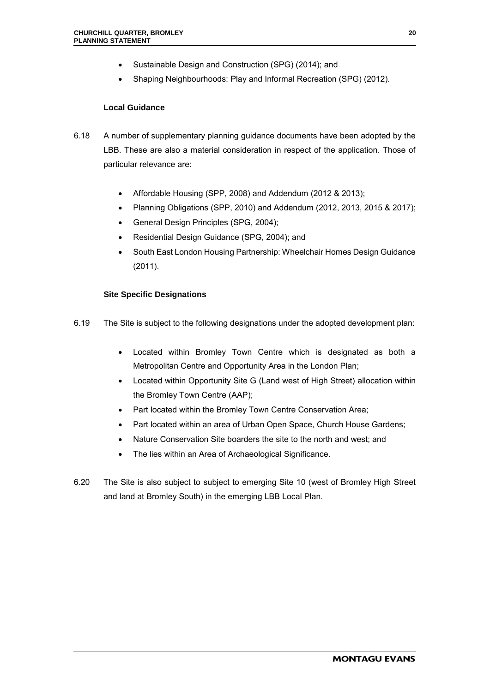- Sustainable Design and Construction (SPG) (2014); and
- Shaping Neighbourhoods: Play and Informal Recreation (SPG) (2012).

#### **Local Guidance**

- 6.18 A number of supplementary planning guidance documents have been adopted by the LBB. These are also a material consideration in respect of the application. Those of particular relevance are:
	- Affordable Housing (SPP, 2008) and Addendum (2012 & 2013);
	- Planning Obligations (SPP, 2010) and Addendum (2012, 2013, 2015 & 2017);
	- General Design Principles (SPG, 2004);
	- Residential Design Guidance (SPG, 2004); and
	- South East London Housing Partnership: Wheelchair Homes Design Guidance (2011).

### **Site Specific Designations**

- 6.19 The Site is subject to the following designations under the adopted development plan:
	- Located within Bromley Town Centre which is designated as both a Metropolitan Centre and Opportunity Area in the London Plan;
	- Located within Opportunity Site G (Land west of High Street) allocation within the Bromley Town Centre (AAP);
	- Part located within the Bromley Town Centre Conservation Area;
	- Part located within an area of Urban Open Space, Church House Gardens;
	- Nature Conservation Site boarders the site to the north and west; and
	- The lies within an Area of Archaeological Significance.
- 6.20 The Site is also subject to subject to emerging Site 10 (west of Bromley High Street and land at Bromley South) in the emerging LBB Local Plan.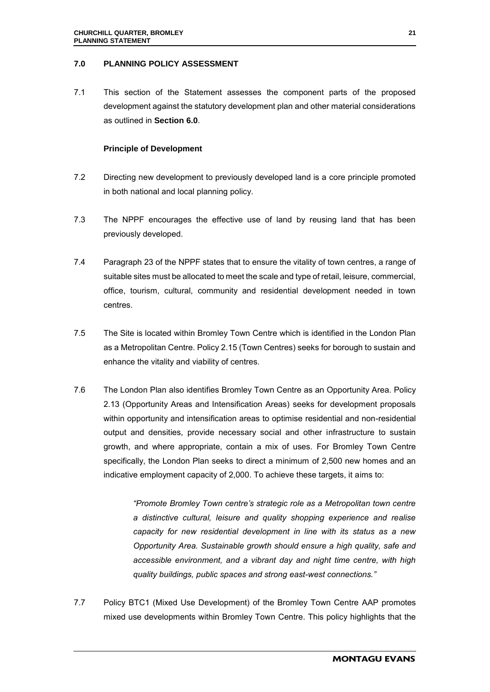#### **7.0 PLANNING POLICY ASSESSMENT**

7.1 This section of the Statement assesses the component parts of the proposed development against the statutory development plan and other material considerations as outlined in **Section 6.0**.

#### **Principle of Development**

- 7.2 Directing new development to previously developed land is a core principle promoted in both national and local planning policy.
- 7.3 The NPPF encourages the effective use of land by reusing land that has been previously developed.
- 7.4 Paragraph 23 of the NPPF states that to ensure the vitality of town centres, a range of suitable sites must be allocated to meet the scale and type of retail, leisure, commercial, office, tourism, cultural, community and residential development needed in town centres.
- 7.5 The Site is located within Bromley Town Centre which is identified in the London Plan as a Metropolitan Centre. Policy 2.15 (Town Centres) seeks for borough to sustain and enhance the vitality and viability of centres.
- 7.6 The London Plan also identifies Bromley Town Centre as an Opportunity Area. Policy 2.13 (Opportunity Areas and Intensification Areas) seeks for development proposals within opportunity and intensification areas to optimise residential and non-residential output and densities, provide necessary social and other infrastructure to sustain growth, and where appropriate, contain a mix of uses. For Bromley Town Centre specifically, the London Plan seeks to direct a minimum of 2,500 new homes and an indicative employment capacity of 2,000. To achieve these targets, it aims to:

*"Promote Bromley Town centre's strategic role as a Metropolitan town centre a distinctive cultural, leisure and quality shopping experience and realise capacity for new residential development in line with its status as a new Opportunity Area. Sustainable growth should ensure a high quality, safe and accessible environment, and a vibrant day and night time centre, with high quality buildings, public spaces and strong east-west connections."* 

7.7 Policy BTC1 (Mixed Use Development) of the Bromley Town Centre AAP promotes mixed use developments within Bromley Town Centre. This policy highlights that the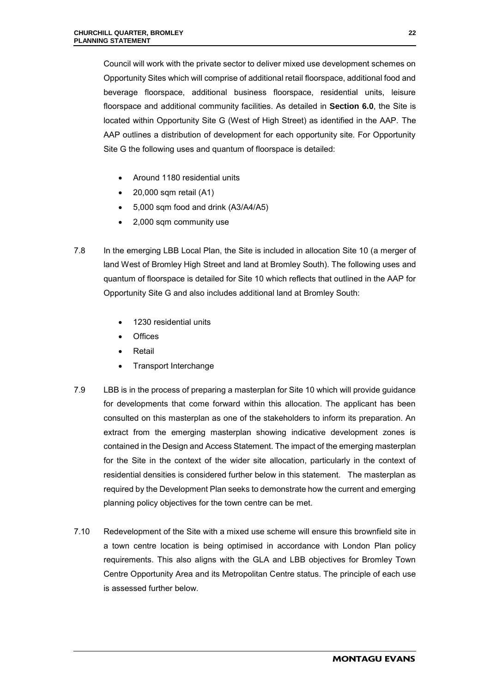Council will work with the private sector to deliver mixed use development schemes on Opportunity Sites which will comprise of additional retail floorspace, additional food and beverage floorspace, additional business floorspace, residential units, leisure floorspace and additional community facilities. As detailed in **Section 6.0**, the Site is located within Opportunity Site G (West of High Street) as identified in the AAP. The AAP outlines a distribution of development for each opportunity site. For Opportunity Site G the following uses and quantum of floorspace is detailed:

- Around 1180 residential units
- 20,000 sqm retail (A1)
- 5,000 sqm food and drink (A3/A4/A5)
- 2,000 sqm community use
- 7.8 In the emerging LBB Local Plan, the Site is included in allocation Site 10 (a merger of land West of Bromley High Street and land at Bromley South). The following uses and quantum of floorspace is detailed for Site 10 which reflects that outlined in the AAP for Opportunity Site G and also includes additional land at Bromley South:
	- 1230 residential units
	- **Offices**
	- Retail
	- Transport Interchange
- 7.9 LBB is in the process of preparing a masterplan for Site 10 which will provide guidance for developments that come forward within this allocation. The applicant has been consulted on this masterplan as one of the stakeholders to inform its preparation. An extract from the emerging masterplan showing indicative development zones is contained in the Design and Access Statement. The impact of the emerging masterplan for the Site in the context of the wider site allocation, particularly in the context of residential densities is considered further below in this statement. The masterplan as required by the Development Plan seeks to demonstrate how the current and emerging planning policy objectives for the town centre can be met.
- 7.10 Redevelopment of the Site with a mixed use scheme will ensure this brownfield site in a town centre location is being optimised in accordance with London Plan policy requirements. This also aligns with the GLA and LBB objectives for Bromley Town Centre Opportunity Area and its Metropolitan Centre status. The principle of each use is assessed further below.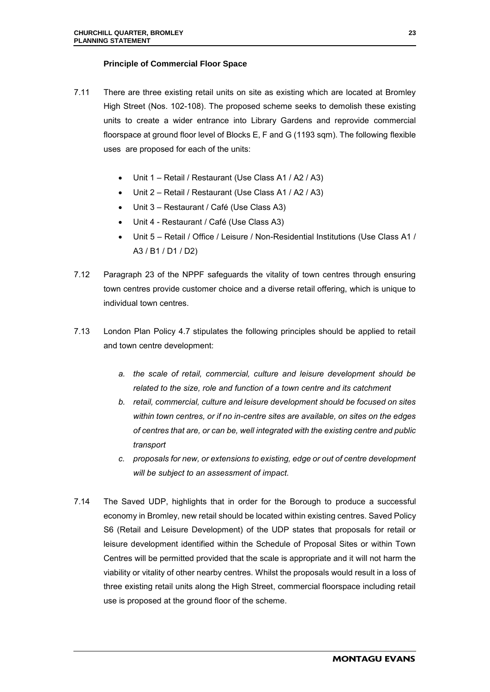#### **Principle of Commercial Floor Space**

- 7.11 There are three existing retail units on site as existing which are located at Bromley High Street (Nos. 102-108). The proposed scheme seeks to demolish these existing units to create a wider entrance into Library Gardens and reprovide commercial floorspace at ground floor level of Blocks E, F and G (1193 sqm). The following flexible uses are proposed for each of the units:
	- Unit 1 Retail / Restaurant (Use Class A1 / A2 / A3)
	- Unit 2 Retail / Restaurant (Use Class A1 / A2 / A3)
	- Unit 3 Restaurant / Café (Use Class A3)
	- Unit 4 Restaurant / Café (Use Class A3)
	- Unit 5 Retail / Office / Leisure / Non-Residential Institutions (Use Class A1 / A3 / B1 / D1 / D2)
- 7.12 Paragraph 23 of the NPPF safeguards the vitality of town centres through ensuring town centres provide customer choice and a diverse retail offering, which is unique to individual town centres.
- 7.13 London Plan Policy 4.7 stipulates the following principles should be applied to retail and town centre development:
	- *a. the scale of retail, commercial, culture and leisure development should be related to the size, role and function of a town centre and its catchment*
	- *b. retail, commercial, culture and leisure development should be focused on sites within town centres, or if no in-centre sites are available, on sites on the edges of centres that are, or can be, well integrated with the existing centre and public transport*
	- *c. proposals for new, or extensions to existing, edge or out of centre development will be subject to an assessment of impact.*
- 7.14 The Saved UDP, highlights that in order for the Borough to produce a successful economy in Bromley, new retail should be located within existing centres. Saved Policy S6 (Retail and Leisure Development) of the UDP states that proposals for retail or leisure development identified within the Schedule of Proposal Sites or within Town Centres will be permitted provided that the scale is appropriate and it will not harm the viability or vitality of other nearby centres. Whilst the proposals would result in a loss of three existing retail units along the High Street, commercial floorspace including retail use is proposed at the ground floor of the scheme.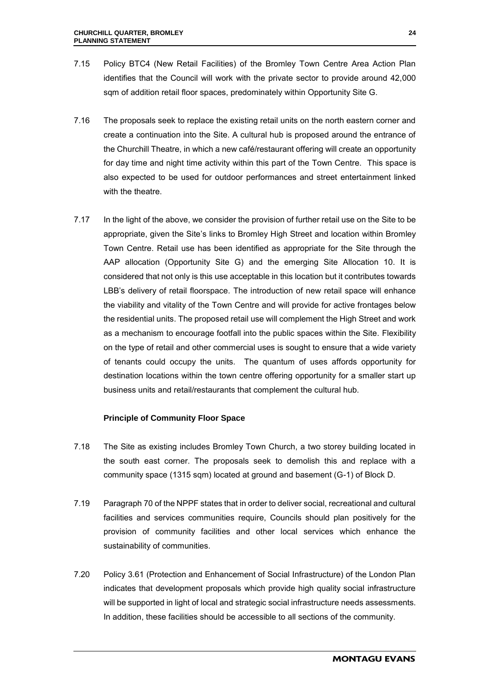- 7.15 Policy BTC4 (New Retail Facilities) of the Bromley Town Centre Area Action Plan identifies that the Council will work with the private sector to provide around 42,000 sqm of addition retail floor spaces, predominately within Opportunity Site G.
- 7.16 The proposals seek to replace the existing retail units on the north eastern corner and create a continuation into the Site. A cultural hub is proposed around the entrance of the Churchill Theatre, in which a new café/restaurant offering will create an opportunity for day time and night time activity within this part of the Town Centre. This space is also expected to be used for outdoor performances and street entertainment linked with the theatre.
- 7.17 In the light of the above, we consider the provision of further retail use on the Site to be appropriate, given the Site's links to Bromley High Street and location within Bromley Town Centre. Retail use has been identified as appropriate for the Site through the AAP allocation (Opportunity Site G) and the emerging Site Allocation 10. It is considered that not only is this use acceptable in this location but it contributes towards LBB's delivery of retail floorspace. The introduction of new retail space will enhance the viability and vitality of the Town Centre and will provide for active frontages below the residential units. The proposed retail use will complement the High Street and work as a mechanism to encourage footfall into the public spaces within the Site. Flexibility on the type of retail and other commercial uses is sought to ensure that a wide variety of tenants could occupy the units. The quantum of uses affords opportunity for destination locations within the town centre offering opportunity for a smaller start up business units and retail/restaurants that complement the cultural hub.

# **Principle of Community Floor Space**

- 7.18 The Site as existing includes Bromley Town Church, a two storey building located in the south east corner. The proposals seek to demolish this and replace with a community space (1315 sqm) located at ground and basement (G-1) of Block D.
- 7.19 Paragraph 70 of the NPPF states that in order to deliver social, recreational and cultural facilities and services communities require, Councils should plan positively for the provision of community facilities and other local services which enhance the sustainability of communities.
- 7.20 Policy 3.61 (Protection and Enhancement of Social Infrastructure) of the London Plan indicates that development proposals which provide high quality social infrastructure will be supported in light of local and strategic social infrastructure needs assessments. In addition, these facilities should be accessible to all sections of the community.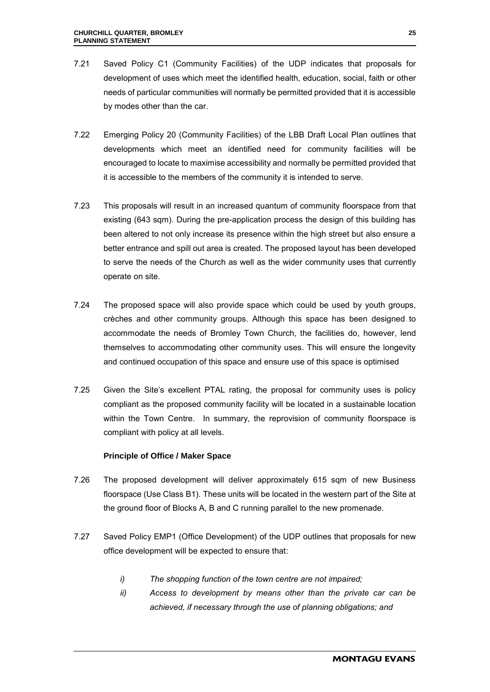- 7.21 Saved Policy C1 (Community Facilities) of the UDP indicates that proposals for development of uses which meet the identified health, education, social, faith or other needs of particular communities will normally be permitted provided that it is accessible by modes other than the car.
- 7.22 Emerging Policy 20 (Community Facilities) of the LBB Draft Local Plan outlines that developments which meet an identified need for community facilities will be encouraged to locate to maximise accessibility and normally be permitted provided that it is accessible to the members of the community it is intended to serve.
- 7.23 This proposals will result in an increased quantum of community floorspace from that existing (643 sqm). During the pre-application process the design of this building has been altered to not only increase its presence within the high street but also ensure a better entrance and spill out area is created. The proposed layout has been developed to serve the needs of the Church as well as the wider community uses that currently operate on site.
- 7.24 The proposed space will also provide space which could be used by youth groups, crèches and other community groups. Although this space has been designed to accommodate the needs of Bromley Town Church, the facilities do, however, lend themselves to accommodating other community uses. This will ensure the longevity and continued occupation of this space and ensure use of this space is optimised
- 7.25 Given the Site's excellent PTAL rating, the proposal for community uses is policy compliant as the proposed community facility will be located in a sustainable location within the Town Centre. In summary, the reprovision of community floorspace is compliant with policy at all levels.

# **Principle of Office / Maker Space**

- 7.26 The proposed development will deliver approximately 615 sqm of new Business floorspace (Use Class B1). These units will be located in the western part of the Site at the ground floor of Blocks A, B and C running parallel to the new promenade.
- 7.27 Saved Policy EMP1 (Office Development) of the UDP outlines that proposals for new office development will be expected to ensure that:
	- *i) The shopping function of the town centre are not impaired;*
	- *ii) Access to development by means other than the private car can be achieved, if necessary through the use of planning obligations; and*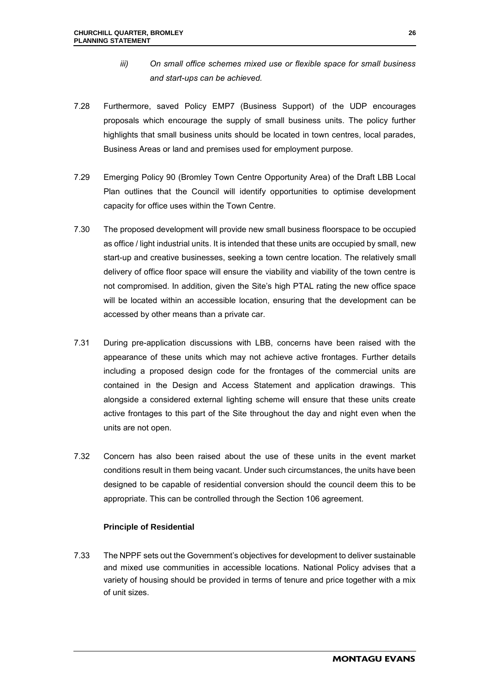- *iii) On small office schemes mixed use or flexible space for small business and start-ups can be achieved.*
- 7.28 Furthermore, saved Policy EMP7 (Business Support) of the UDP encourages proposals which encourage the supply of small business units. The policy further highlights that small business units should be located in town centres, local parades, Business Areas or land and premises used for employment purpose.
- 7.29 Emerging Policy 90 (Bromley Town Centre Opportunity Area) of the Draft LBB Local Plan outlines that the Council will identify opportunities to optimise development capacity for office uses within the Town Centre.
- 7.30 The proposed development will provide new small business floorspace to be occupied as office / light industrial units. It is intended that these units are occupied by small, new start-up and creative businesses, seeking a town centre location. The relatively small delivery of office floor space will ensure the viability and viability of the town centre is not compromised. In addition, given the Site's high PTAL rating the new office space will be located within an accessible location, ensuring that the development can be accessed by other means than a private car.
- 7.31 During pre-application discussions with LBB, concerns have been raised with the appearance of these units which may not achieve active frontages. Further details including a proposed design code for the frontages of the commercial units are contained in the Design and Access Statement and application drawings. This alongside a considered external lighting scheme will ensure that these units create active frontages to this part of the Site throughout the day and night even when the units are not open.
- 7.32 Concern has also been raised about the use of these units in the event market conditions result in them being vacant. Under such circumstances, the units have been designed to be capable of residential conversion should the council deem this to be appropriate. This can be controlled through the Section 106 agreement.

### **Principle of Residential**

7.33 The NPPF sets out the Government's objectives for development to deliver sustainable and mixed use communities in accessible locations. National Policy advises that a variety of housing should be provided in terms of tenure and price together with a mix of unit sizes.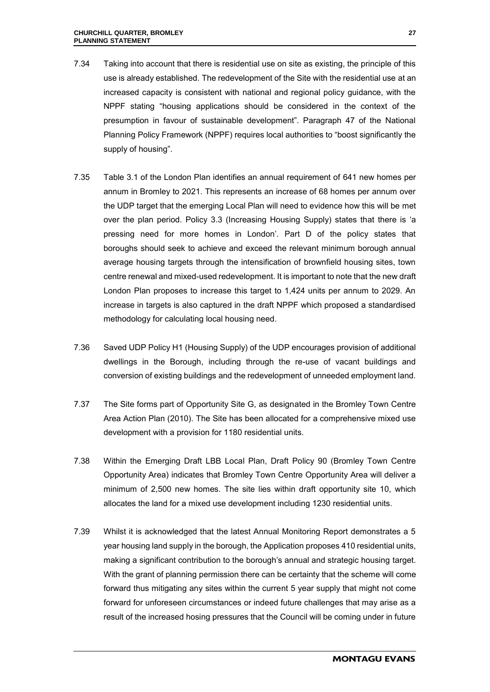- 7.34 Taking into account that there is residential use on site as existing, the principle of this use is already established. The redevelopment of the Site with the residential use at an increased capacity is consistent with national and regional policy guidance, with the NPPF stating "housing applications should be considered in the context of the presumption in favour of sustainable development". Paragraph 47 of the National Planning Policy Framework (NPPF) requires local authorities to "boost significantly the supply of housing".
- 7.35 Table 3.1 of the London Plan identifies an annual requirement of 641 new homes per annum in Bromley to 2021. This represents an increase of 68 homes per annum over the UDP target that the emerging Local Plan will need to evidence how this will be met over the plan period. Policy 3.3 (Increasing Housing Supply) states that there is 'a pressing need for more homes in London'. Part D of the policy states that boroughs should seek to achieve and exceed the relevant minimum borough annual average housing targets through the intensification of brownfield housing sites, town centre renewal and mixed-used redevelopment. It is important to note that the new draft London Plan proposes to increase this target to 1,424 units per annum to 2029. An increase in targets is also captured in the draft NPPF which proposed a standardised methodology for calculating local housing need.
- 7.36 Saved UDP Policy H1 (Housing Supply) of the UDP encourages provision of additional dwellings in the Borough, including through the re-use of vacant buildings and conversion of existing buildings and the redevelopment of unneeded employment land.
- 7.37 The Site forms part of Opportunity Site G, as designated in the Bromley Town Centre Area Action Plan (2010). The Site has been allocated for a comprehensive mixed use development with a provision for 1180 residential units.
- 7.38 Within the Emerging Draft LBB Local Plan, Draft Policy 90 (Bromley Town Centre Opportunity Area) indicates that Bromley Town Centre Opportunity Area will deliver a minimum of 2,500 new homes. The site lies within draft opportunity site 10, which allocates the land for a mixed use development including 1230 residential units.
- 7.39 Whilst it is acknowledged that the latest Annual Monitoring Report demonstrates a 5 year housing land supply in the borough, the Application proposes 410 residential units, making a significant contribution to the borough's annual and strategic housing target. With the grant of planning permission there can be certainty that the scheme will come forward thus mitigating any sites within the current 5 year supply that might not come forward for unforeseen circumstances or indeed future challenges that may arise as a result of the increased hosing pressures that the Council will be coming under in future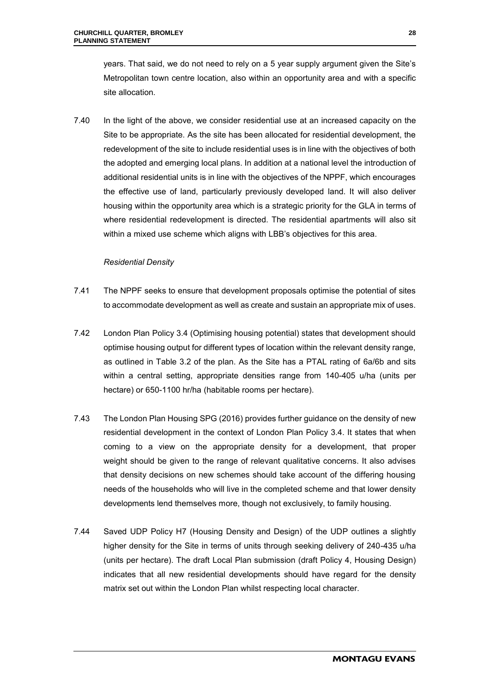years. That said, we do not need to rely on a 5 year supply argument given the Site's Metropolitan town centre location, also within an opportunity area and with a specific site allocation.

7.40 In the light of the above, we consider residential use at an increased capacity on the Site to be appropriate. As the site has been allocated for residential development, the redevelopment of the site to include residential uses is in line with the objectives of both the adopted and emerging local plans. In addition at a national level the introduction of additional residential units is in line with the objectives of the NPPF, which encourages the effective use of land, particularly previously developed land. It will also deliver housing within the opportunity area which is a strategic priority for the GLA in terms of where residential redevelopment is directed. The residential apartments will also sit within a mixed use scheme which aligns with LBB's objectives for this area.

#### *Residential Density*

- 7.41 The NPPF seeks to ensure that development proposals optimise the potential of sites to accommodate development as well as create and sustain an appropriate mix of uses.
- 7.42 London Plan Policy 3.4 (Optimising housing potential) states that development should optimise housing output for different types of location within the relevant density range, as outlined in Table 3.2 of the plan. As the Site has a PTAL rating of 6a/6b and sits within a central setting, appropriate densities range from 140-405 u/ha (units per hectare) or 650-1100 hr/ha (habitable rooms per hectare).
- 7.43 The London Plan Housing SPG (2016) provides further guidance on the density of new residential development in the context of London Plan Policy 3.4. It states that when coming to a view on the appropriate density for a development, that proper weight should be given to the range of relevant qualitative concerns. It also advises that density decisions on new schemes should take account of the differing housing needs of the households who will live in the completed scheme and that lower density developments lend themselves more, though not exclusively, to family housing.
- 7.44 Saved UDP Policy H7 (Housing Density and Design) of the UDP outlines a slightly higher density for the Site in terms of units through seeking delivery of 240-435 u/ha (units per hectare). The draft Local Plan submission (draft Policy 4, Housing Design) indicates that all new residential developments should have regard for the density matrix set out within the London Plan whilst respecting local character.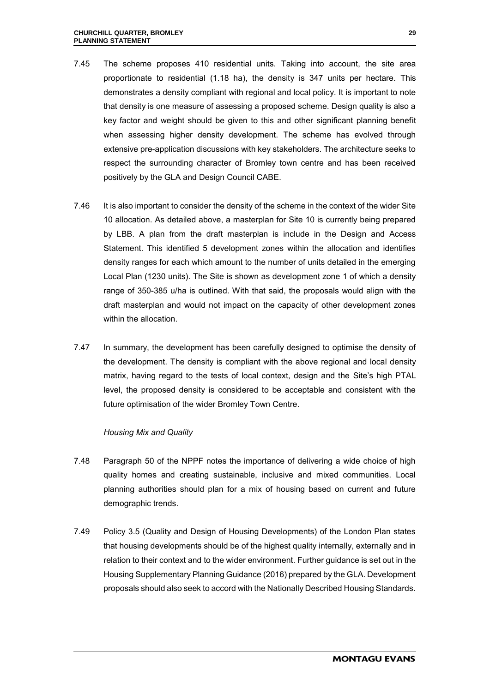- 7.45 The scheme proposes 410 residential units. Taking into account, the site area proportionate to residential (1.18 ha), the density is 347 units per hectare. This demonstrates a density compliant with regional and local policy. It is important to note that density is one measure of assessing a proposed scheme. Design quality is also a key factor and weight should be given to this and other significant planning benefit when assessing higher density development. The scheme has evolved through extensive pre-application discussions with key stakeholders. The architecture seeks to respect the surrounding character of Bromley town centre and has been received positively by the GLA and Design Council CABE.
- 7.46 It is also important to consider the density of the scheme in the context of the wider Site 10 allocation. As detailed above, a masterplan for Site 10 is currently being prepared by LBB. A plan from the draft masterplan is include in the Design and Access Statement. This identified 5 development zones within the allocation and identifies density ranges for each which amount to the number of units detailed in the emerging Local Plan (1230 units). The Site is shown as development zone 1 of which a density range of 350-385 u/ha is outlined. With that said, the proposals would align with the draft masterplan and would not impact on the capacity of other development zones within the allocation.
- 7.47 In summary, the development has been carefully designed to optimise the density of the development. The density is compliant with the above regional and local density matrix, having regard to the tests of local context, design and the Site's high PTAL level, the proposed density is considered to be acceptable and consistent with the future optimisation of the wider Bromley Town Centre.

#### *Housing Mix and Quality*

- 7.48 Paragraph 50 of the NPPF notes the importance of delivering a wide choice of high quality homes and creating sustainable, inclusive and mixed communities. Local planning authorities should plan for a mix of housing based on current and future demographic trends.
- 7.49 Policy 3.5 (Quality and Design of Housing Developments) of the London Plan states that housing developments should be of the highest quality internally, externally and in relation to their context and to the wider environment. Further guidance is set out in the Housing Supplementary Planning Guidance (2016) prepared by the GLA. Development proposals should also seek to accord with the Nationally Described Housing Standards.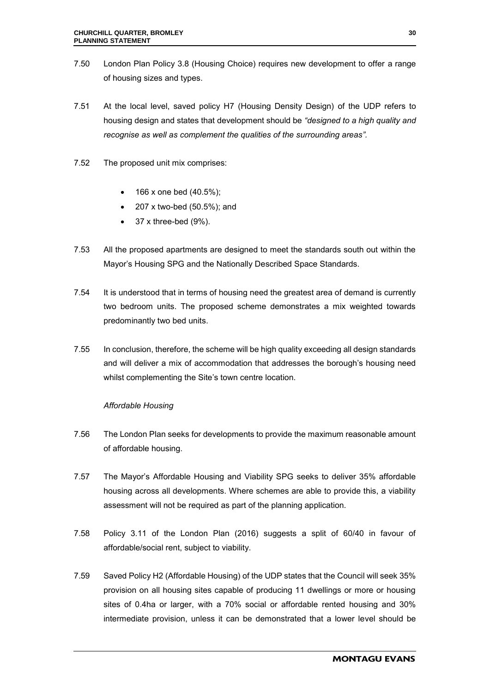- 7.50 London Plan Policy 3.8 (Housing Choice) requires new development to offer a range of housing sizes and types.
- 7.51 At the local level, saved policy H7 (Housing Density Design) of the UDP refers to housing design and states that development should be *"designed to a high quality and recognise as well as complement the qualities of the surrounding areas".*
- 7.52 The proposed unit mix comprises:
	- $\bullet$  166 x one bed (40.5%);
	- $\bullet$  207 x two-bed (50.5%); and
	- $\bullet$  37 x three-bed (9%).
- 7.53 All the proposed apartments are designed to meet the standards south out within the Mayor's Housing SPG and the Nationally Described Space Standards.
- 7.54 It is understood that in terms of housing need the greatest area of demand is currently two bedroom units. The proposed scheme demonstrates a mix weighted towards predominantly two bed units.
- 7.55 In conclusion, therefore, the scheme will be high quality exceeding all design standards and will deliver a mix of accommodation that addresses the borough's housing need whilst complementing the Site's town centre location.

# *Affordable Housing*

- 7.56 The London Plan seeks for developments to provide the maximum reasonable amount of affordable housing.
- 7.57 The Mayor's Affordable Housing and Viability SPG seeks to deliver 35% affordable housing across all developments. Where schemes are able to provide this, a viability assessment will not be required as part of the planning application.
- 7.58 Policy 3.11 of the London Plan (2016) suggests a split of 60/40 in favour of affordable/social rent, subject to viability.
- 7.59 Saved Policy H2 (Affordable Housing) of the UDP states that the Council will seek 35% provision on all housing sites capable of producing 11 dwellings or more or housing sites of 0.4ha or larger, with a 70% social or affordable rented housing and 30% intermediate provision, unless it can be demonstrated that a lower level should be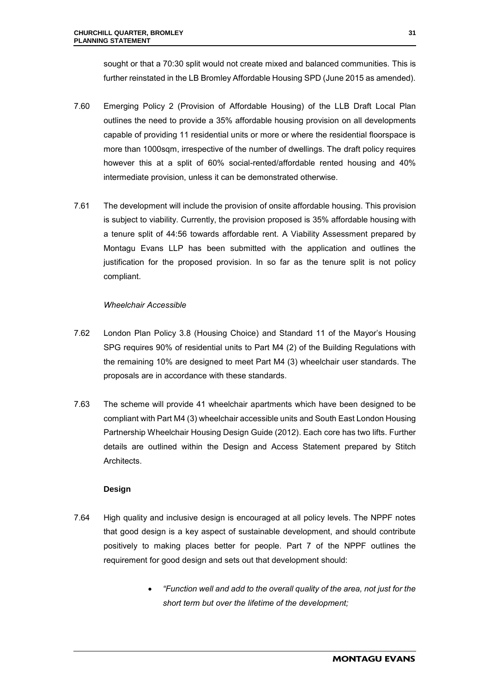sought or that a 70:30 split would not create mixed and balanced communities. This is further reinstated in the LB Bromley Affordable Housing SPD (June 2015 as amended).

- 7.60 Emerging Policy 2 (Provision of Affordable Housing) of the LLB Draft Local Plan outlines the need to provide a 35% affordable housing provision on all developments capable of providing 11 residential units or more or where the residential floorspace is more than 1000sqm, irrespective of the number of dwellings. The draft policy requires however this at a split of 60% social-rented/affordable rented housing and 40% intermediate provision, unless it can be demonstrated otherwise.
- 7.61 The development will include the provision of onsite affordable housing. This provision is subject to viability. Currently, the provision proposed is 35% affordable housing with a tenure split of 44:56 towards affordable rent. A Viability Assessment prepared by Montagu Evans LLP has been submitted with the application and outlines the justification for the proposed provision. In so far as the tenure split is not policy compliant.

#### *Wheelchair Accessible*

- 7.62 London Plan Policy 3.8 (Housing Choice) and Standard 11 of the Mayor's Housing SPG requires 90% of residential units to Part M4 (2) of the Building Regulations with the remaining 10% are designed to meet Part M4 (3) wheelchair user standards. The proposals are in accordance with these standards.
- 7.63 The scheme will provide 41 wheelchair apartments which have been designed to be compliant with Part M4 (3) wheelchair accessible units and South East London Housing Partnership Wheelchair Housing Design Guide (2012). Each core has two lifts. Further details are outlined within the Design and Access Statement prepared by Stitch Architects.

#### **Design**

- 7.64 High quality and inclusive design is encouraged at all policy levels. The NPPF notes that good design is a key aspect of sustainable development, and should contribute positively to making places better for people. Part 7 of the NPPF outlines the requirement for good design and sets out that development should:
	- *"Function well and add to the overall quality of the area, not just for the short term but over the lifetime of the development;*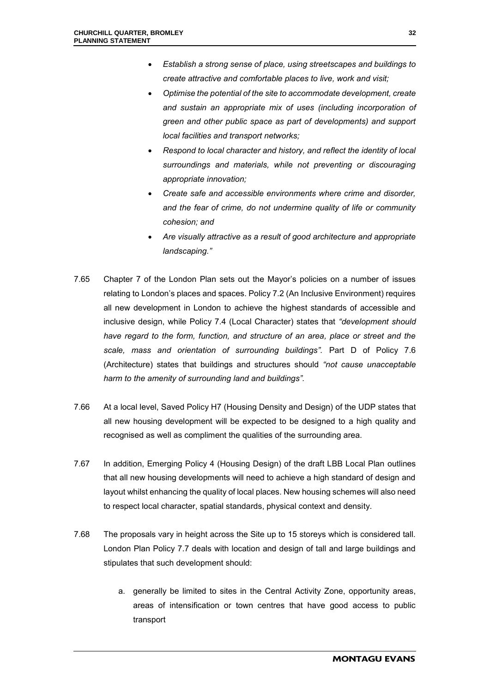- *Establish a strong sense of place, using streetscapes and buildings to create attractive and comfortable places to live, work and visit;*
- *Optimise the potential of the site to accommodate development, create and sustain an appropriate mix of uses (including incorporation of green and other public space as part of developments) and support local facilities and transport networks;*
- *Respond to local character and history, and reflect the identity of local surroundings and materials, while not preventing or discouraging appropriate innovation;*
- *Create safe and accessible environments where crime and disorder, and the fear of crime, do not undermine quality of life or community cohesion; and*
- *Are visually attractive as a result of good architecture and appropriate landscaping."*
- 7.65 Chapter 7 of the London Plan sets out the Mayor's policies on a number of issues relating to London's places and spaces. Policy 7.2 (An Inclusive Environment) requires all new development in London to achieve the highest standards of accessible and inclusive design, while Policy 7.4 (Local Character) states that *"development should have regard to the form, function, and structure of an area, place or street and the scale, mass and orientation of surrounding buildings".* Part D of Policy 7.6 (Architecture) states that buildings and structures should *"not cause unacceptable harm to the amenity of surrounding land and buildings".*
- 7.66 At a local level, Saved Policy H7 (Housing Density and Design) of the UDP states that all new housing development will be expected to be designed to a high quality and recognised as well as compliment the qualities of the surrounding area.
- 7.67 In addition, Emerging Policy 4 (Housing Design) of the draft LBB Local Plan outlines that all new housing developments will need to achieve a high standard of design and layout whilst enhancing the quality of local places. New housing schemes will also need to respect local character, spatial standards, physical context and density.
- 7.68 The proposals vary in height across the Site up to 15 storeys which is considered tall. London Plan Policy 7.7 deals with location and design of tall and large buildings and stipulates that such development should:
	- a. generally be limited to sites in the Central Activity Zone, opportunity areas, areas of intensification or town centres that have good access to public transport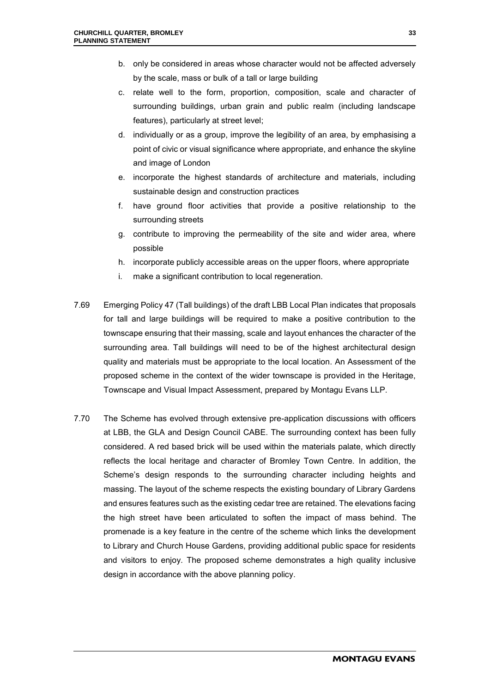- b. only be considered in areas whose character would not be affected adversely by the scale, mass or bulk of a tall or large building
- c. relate well to the form, proportion, composition, scale and character of surrounding buildings, urban grain and public realm (including landscape features), particularly at street level;
- d. individually or as a group, improve the legibility of an area, by emphasising a point of civic or visual significance where appropriate, and enhance the skyline and image of London
- e. incorporate the highest standards of architecture and materials, including sustainable design and construction practices
- f. have ground floor activities that provide a positive relationship to the surrounding streets
- g. contribute to improving the permeability of the site and wider area, where possible
- h. incorporate publicly accessible areas on the upper floors, where appropriate
- i. make a significant contribution to local regeneration.
- 7.69 Emerging Policy 47 (Tall buildings) of the draft LBB Local Plan indicates that proposals for tall and large buildings will be required to make a positive contribution to the townscape ensuring that their massing, scale and layout enhances the character of the surrounding area. Tall buildings will need to be of the highest architectural design quality and materials must be appropriate to the local location. An Assessment of the proposed scheme in the context of the wider townscape is provided in the Heritage, Townscape and Visual Impact Assessment, prepared by Montagu Evans LLP.
- 7.70 The Scheme has evolved through extensive pre-application discussions with officers at LBB, the GLA and Design Council CABE. The surrounding context has been fully considered. A red based brick will be used within the materials palate, which directly reflects the local heritage and character of Bromley Town Centre. In addition, the Scheme's design responds to the surrounding character including heights and massing. The layout of the scheme respects the existing boundary of Library Gardens and ensures features such as the existing cedar tree are retained. The elevations facing the high street have been articulated to soften the impact of mass behind. The promenade is a key feature in the centre of the scheme which links the development to Library and Church House Gardens, providing additional public space for residents and visitors to enjoy. The proposed scheme demonstrates a high quality inclusive design in accordance with the above planning policy.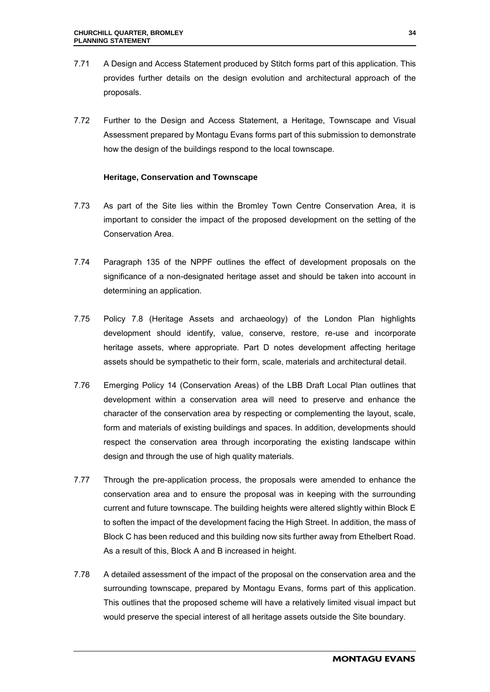- 7.71 A Design and Access Statement produced by Stitch forms part of this application. This provides further details on the design evolution and architectural approach of the proposals.
- 7.72 Further to the Design and Access Statement, a Heritage, Townscape and Visual Assessment prepared by Montagu Evans forms part of this submission to demonstrate how the design of the buildings respond to the local townscape.

# **Heritage, Conservation and Townscape**

- 7.73 As part of the Site lies within the Bromley Town Centre Conservation Area, it is important to consider the impact of the proposed development on the setting of the Conservation Area.
- 7.74 Paragraph 135 of the NPPF outlines the effect of development proposals on the significance of a non-designated heritage asset and should be taken into account in determining an application.
- 7.75 Policy 7.8 (Heritage Assets and archaeology) of the London Plan highlights development should identify, value, conserve, restore, re-use and incorporate heritage assets, where appropriate. Part D notes development affecting heritage assets should be sympathetic to their form, scale, materials and architectural detail.
- 7.76 Emerging Policy 14 (Conservation Areas) of the LBB Draft Local Plan outlines that development within a conservation area will need to preserve and enhance the character of the conservation area by respecting or complementing the layout, scale, form and materials of existing buildings and spaces. In addition, developments should respect the conservation area through incorporating the existing landscape within design and through the use of high quality materials.
- 7.77 Through the pre-application process, the proposals were amended to enhance the conservation area and to ensure the proposal was in keeping with the surrounding current and future townscape. The building heights were altered slightly within Block E to soften the impact of the development facing the High Street. In addition, the mass of Block C has been reduced and this building now sits further away from Ethelbert Road. As a result of this, Block A and B increased in height.
- 7.78 A detailed assessment of the impact of the proposal on the conservation area and the surrounding townscape, prepared by Montagu Evans, forms part of this application. This outlines that the proposed scheme will have a relatively limited visual impact but would preserve the special interest of all heritage assets outside the Site boundary.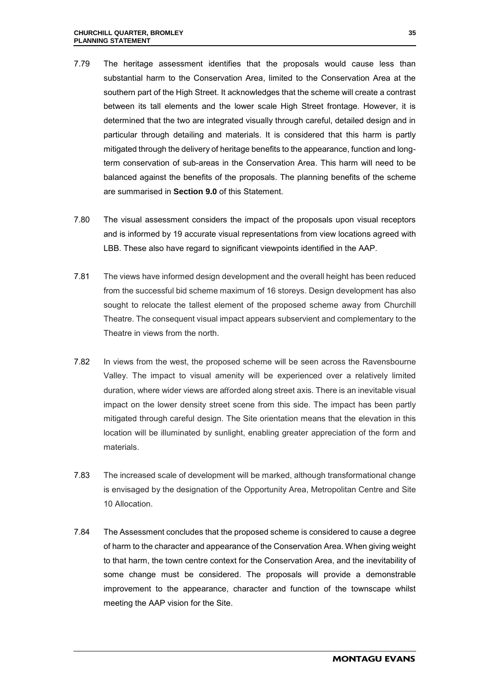- 7.79 The heritage assessment identifies that the proposals would cause less than substantial harm to the Conservation Area, limited to the Conservation Area at the southern part of the High Street. It acknowledges that the scheme will create a contrast between its tall elements and the lower scale High Street frontage. However, it is determined that the two are integrated visually through careful, detailed design and in particular through detailing and materials. It is considered that this harm is partly mitigated through the delivery of heritage benefits to the appearance, function and longterm conservation of sub-areas in the Conservation Area. This harm will need to be balanced against the benefits of the proposals. The planning benefits of the scheme are summarised in **Section 9.0** of this Statement.
- 7.80 The visual assessment considers the impact of the proposals upon visual receptors and is informed by 19 accurate visual representations from view locations agreed with LBB. These also have regard to significant viewpoints identified in the AAP.
- 7.81 The views have informed design development and the overall height has been reduced from the successful bid scheme maximum of 16 storeys. Design development has also sought to relocate the tallest element of the proposed scheme away from Churchill Theatre. The consequent visual impact appears subservient and complementary to the Theatre in views from the north.
- 7.82 In views from the west, the proposed scheme will be seen across the Ravensbourne Valley. The impact to visual amenity will be experienced over a relatively limited duration, where wider views are afforded along street axis. There is an inevitable visual impact on the lower density street scene from this side. The impact has been partly mitigated through careful design. The Site orientation means that the elevation in this location will be illuminated by sunlight, enabling greater appreciation of the form and materials.
- 7.83 The increased scale of development will be marked, although transformational change is envisaged by the designation of the Opportunity Area, Metropolitan Centre and Site 10 Allocation.
- 7.84 The Assessment concludes that the proposed scheme is considered to cause a degree of harm to the character and appearance of the Conservation Area. When giving weight to that harm, the town centre context for the Conservation Area, and the inevitability of some change must be considered. The proposals will provide a demonstrable improvement to the appearance, character and function of the townscape whilst meeting the AAP vision for the Site.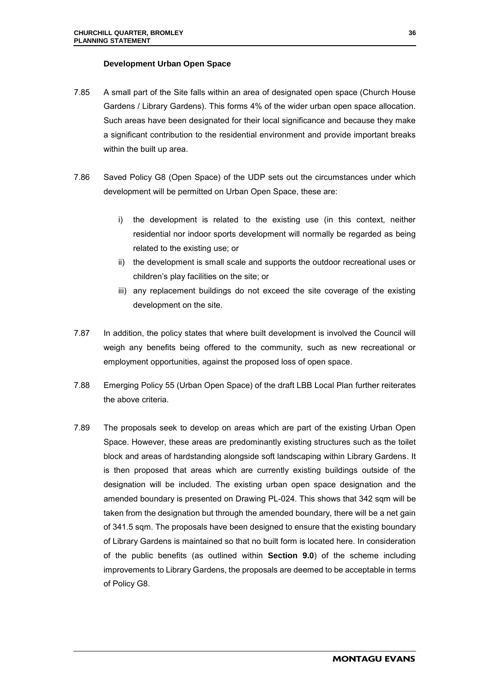#### **Development Urban Open Space**

- 7.85 A small part of the Site falls within an area of designated open space (Church House Gardens / Library Gardens). This forms 4% of the wider urban open space allocation. Such areas have been designated for their local significance and because they make a significant contribution to the residential environment and provide important breaks within the built up area.
- 7.86 Saved Policy G8 (Open Space) of the UDP sets out the circumstances under which development will be permitted on Urban Open Space, these are:
	- i) the development is related to the existing use (in this context, neither residential nor indoor sports development will normally be regarded as being related to the existing use; or
	- ii) the development is small scale and supports the outdoor recreational uses or children's play facilities on the site; or
	- iii) any replacement buildings do not exceed the site coverage of the existing development on the site.
- 7.87 In addition, the policy states that where built development is involved the Council will weigh any benefits being offered to the community, such as new recreational or employment opportunities, against the proposed loss of open space.
- 7.88 Emerging Policy 55 (Urban Open Space) of the draft LBB Local Plan further reiterates the above criteria.
- 7.89 The proposals seek to develop on areas which are part of the existing Urban Open Space. However, these areas are predominantly existing structures such as the toilet block and areas of hardstanding alongside soft landscaping within Library Gardens. It is then proposed that areas which are currently existing buildings outside of the designation will be included. The existing urban open space designation and the amended boundary is presented on Drawing PL-024. This shows that 342 sqm will be taken from the designation but through the amended boundary, there will be a net gain of 341.5 sqm. The proposals have been designed to ensure that the existing boundary of Library Gardens is maintained so that no built form is located here. In consideration of the public benefits (as outlined within **Section 9.0**) of the scheme including improvements to Library Gardens, the proposals are deemed to be acceptable in terms of Policy G8.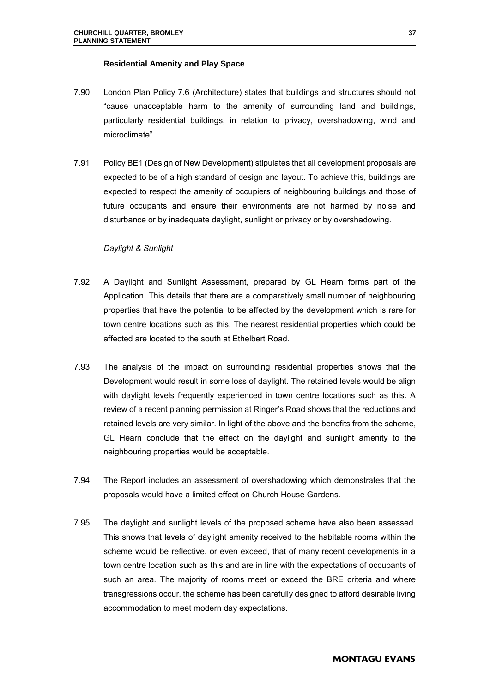#### **Residential Amenity and Play Space**

- 7.90 London Plan Policy 7.6 (Architecture) states that buildings and structures should not "cause unacceptable harm to the amenity of surrounding land and buildings, particularly residential buildings, in relation to privacy, overshadowing, wind and microclimate".
- 7.91 Policy BE1 (Design of New Development) stipulates that all development proposals are expected to be of a high standard of design and layout. To achieve this, buildings are expected to respect the amenity of occupiers of neighbouring buildings and those of future occupants and ensure their environments are not harmed by noise and disturbance or by inadequate daylight, sunlight or privacy or by overshadowing.

#### *Daylight & Sunlight*

- 7.92 A Daylight and Sunlight Assessment, prepared by GL Hearn forms part of the Application. This details that there are a comparatively small number of neighbouring properties that have the potential to be affected by the development which is rare for town centre locations such as this. The nearest residential properties which could be affected are located to the south at Ethelbert Road.
- 7.93 The analysis of the impact on surrounding residential properties shows that the Development would result in some loss of daylight. The retained levels would be align with daylight levels frequently experienced in town centre locations such as this. A review of a recent planning permission at Ringer's Road shows that the reductions and retained levels are very similar. In light of the above and the benefits from the scheme, GL Hearn conclude that the effect on the daylight and sunlight amenity to the neighbouring properties would be acceptable.
- 7.94 The Report includes an assessment of overshadowing which demonstrates that the proposals would have a limited effect on Church House Gardens.
- 7.95 The daylight and sunlight levels of the proposed scheme have also been assessed. This shows that levels of daylight amenity received to the habitable rooms within the scheme would be reflective, or even exceed, that of many recent developments in a town centre location such as this and are in line with the expectations of occupants of such an area. The majority of rooms meet or exceed the BRE criteria and where transgressions occur, the scheme has been carefully designed to afford desirable living accommodation to meet modern day expectations.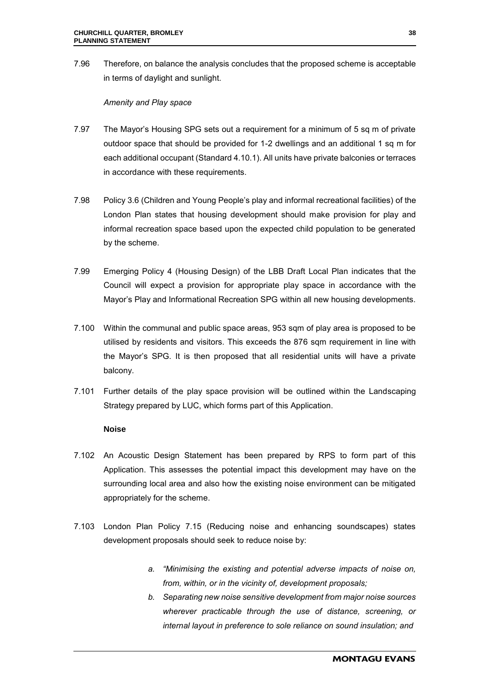7.96 Therefore, on balance the analysis concludes that the proposed scheme is acceptable in terms of daylight and sunlight.

## *Amenity and Play space*

- 7.97 The Mayor's Housing SPG sets out a requirement for a minimum of 5 sq m of private outdoor space that should be provided for 1-2 dwellings and an additional 1 sq m for each additional occupant (Standard 4.10.1). All units have private balconies or terraces in accordance with these requirements.
- 7.98 Policy 3.6 (Children and Young People's play and informal recreational facilities) of the London Plan states that housing development should make provision for play and informal recreation space based upon the expected child population to be generated by the scheme.
- 7.99 Emerging Policy 4 (Housing Design) of the LBB Draft Local Plan indicates that the Council will expect a provision for appropriate play space in accordance with the Mayor's Play and Informational Recreation SPG within all new housing developments.
- 7.100 Within the communal and public space areas, 953 sqm of play area is proposed to be utilised by residents and visitors. This exceeds the 876 sqm requirement in line with the Mayor's SPG. It is then proposed that all residential units will have a private balcony.
- 7.101 Further details of the play space provision will be outlined within the Landscaping Strategy prepared by LUC, which forms part of this Application.

# **Noise**

- 7.102 An Acoustic Design Statement has been prepared by RPS to form part of this Application. This assesses the potential impact this development may have on the surrounding local area and also how the existing noise environment can be mitigated appropriately for the scheme.
- 7.103 London Plan Policy 7.15 (Reducing noise and enhancing soundscapes) states development proposals should seek to reduce noise by:
	- *a. "Minimising the existing and potential adverse impacts of noise on, from, within, or in the vicinity of, development proposals;*
	- *b. Separating new noise sensitive development from major noise sources wherever practicable through the use of distance, screening, or internal layout in preference to sole reliance on sound insulation; and*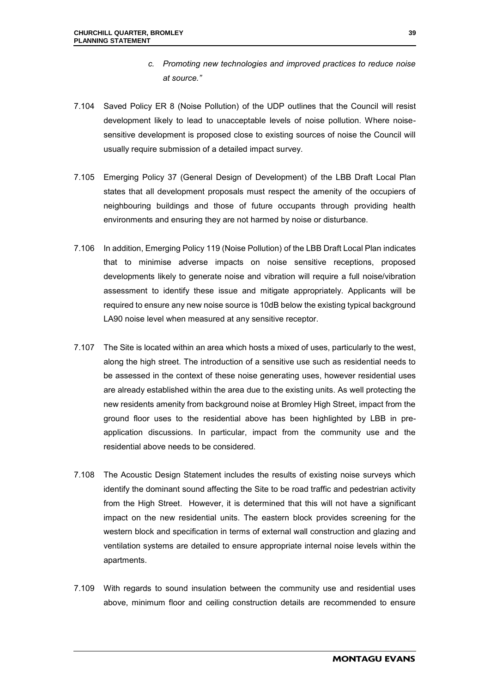- *c. Promoting new technologies and improved practices to reduce noise at source."*
- 7.104 Saved Policy ER 8 (Noise Pollution) of the UDP outlines that the Council will resist development likely to lead to unacceptable levels of noise pollution. Where noisesensitive development is proposed close to existing sources of noise the Council will usually require submission of a detailed impact survey.
- 7.105 Emerging Policy 37 (General Design of Development) of the LBB Draft Local Plan states that all development proposals must respect the amenity of the occupiers of neighbouring buildings and those of future occupants through providing health environments and ensuring they are not harmed by noise or disturbance.
- 7.106 In addition, Emerging Policy 119 (Noise Pollution) of the LBB Draft Local Plan indicates that to minimise adverse impacts on noise sensitive receptions, proposed developments likely to generate noise and vibration will require a full noise/vibration assessment to identify these issue and mitigate appropriately. Applicants will be required to ensure any new noise source is 10dB below the existing typical background LA90 noise level when measured at any sensitive receptor.
- 7.107 The Site is located within an area which hosts a mixed of uses, particularly to the west, along the high street. The introduction of a sensitive use such as residential needs to be assessed in the context of these noise generating uses, however residential uses are already established within the area due to the existing units. As well protecting the new residents amenity from background noise at Bromley High Street, impact from the ground floor uses to the residential above has been highlighted by LBB in preapplication discussions. In particular, impact from the community use and the residential above needs to be considered.
- 7.108 The Acoustic Design Statement includes the results of existing noise surveys which identify the dominant sound affecting the Site to be road traffic and pedestrian activity from the High Street. However, it is determined that this will not have a significant impact on the new residential units. The eastern block provides screening for the western block and specification in terms of external wall construction and glazing and ventilation systems are detailed to ensure appropriate internal noise levels within the apartments.
- 7.109 With regards to sound insulation between the community use and residential uses above, minimum floor and ceiling construction details are recommended to ensure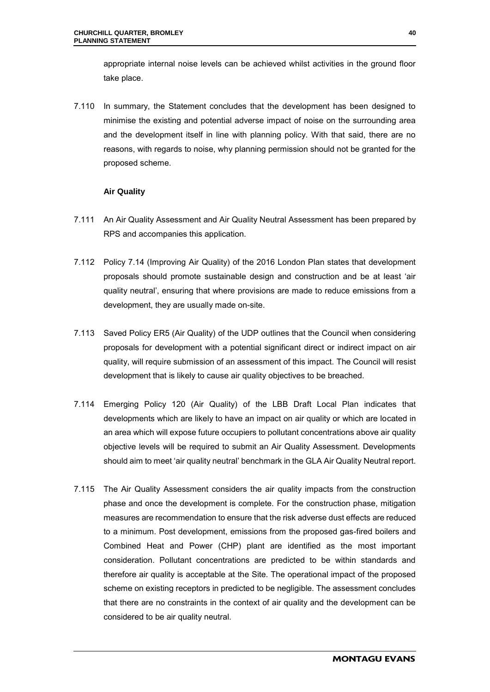appropriate internal noise levels can be achieved whilst activities in the ground floor take place.

7.110 In summary, the Statement concludes that the development has been designed to minimise the existing and potential adverse impact of noise on the surrounding area and the development itself in line with planning policy. With that said, there are no reasons, with regards to noise, why planning permission should not be granted for the proposed scheme.

#### **Air Quality**

- 7.111 An Air Quality Assessment and Air Quality Neutral Assessment has been prepared by RPS and accompanies this application.
- 7.112 Policy 7.14 (Improving Air Quality) of the 2016 London Plan states that development proposals should promote sustainable design and construction and be at least 'air quality neutral', ensuring that where provisions are made to reduce emissions from a development, they are usually made on-site.
- 7.113 Saved Policy ER5 (Air Quality) of the UDP outlines that the Council when considering proposals for development with a potential significant direct or indirect impact on air quality, will require submission of an assessment of this impact. The Council will resist development that is likely to cause air quality objectives to be breached.
- 7.114 Emerging Policy 120 (Air Quality) of the LBB Draft Local Plan indicates that developments which are likely to have an impact on air quality or which are located in an area which will expose future occupiers to pollutant concentrations above air quality objective levels will be required to submit an Air Quality Assessment. Developments should aim to meet 'air quality neutral' benchmark in the GLA Air Quality Neutral report.
- 7.115 The Air Quality Assessment considers the air quality impacts from the construction phase and once the development is complete. For the construction phase, mitigation measures are recommendation to ensure that the risk adverse dust effects are reduced to a minimum. Post development, emissions from the proposed gas-fired boilers and Combined Heat and Power (CHP) plant are identified as the most important consideration. Pollutant concentrations are predicted to be within standards and therefore air quality is acceptable at the Site. The operational impact of the proposed scheme on existing receptors in predicted to be negligible. The assessment concludes that there are no constraints in the context of air quality and the development can be considered to be air quality neutral.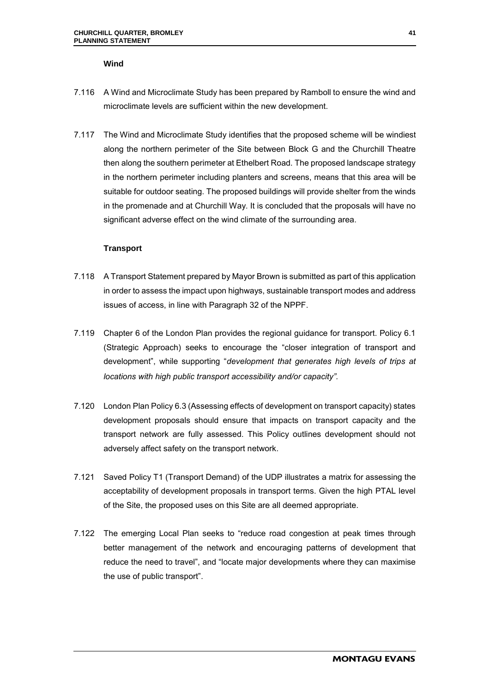#### **Wind**

- 7.116 A Wind and Microclimate Study has been prepared by Ramboll to ensure the wind and microclimate levels are sufficient within the new development.
- 7.117 The Wind and Microclimate Study identifies that the proposed scheme will be windiest along the northern perimeter of the Site between Block G and the Churchill Theatre then along the southern perimeter at Ethelbert Road. The proposed landscape strategy in the northern perimeter including planters and screens, means that this area will be suitable for outdoor seating. The proposed buildings will provide shelter from the winds in the promenade and at Churchill Way. It is concluded that the proposals will have no significant adverse effect on the wind climate of the surrounding area.

#### **Transport**

- 7.118 A Transport Statement prepared by Mayor Brown is submitted as part of this application in order to assess the impact upon highways, sustainable transport modes and address issues of access, in line with Paragraph 32 of the NPPF.
- 7.119 Chapter 6 of the London Plan provides the regional guidance for transport. Policy 6.1 (Strategic Approach) seeks to encourage the "closer integration of transport and development", while supporting "*development that generates high levels of trips at locations with high public transport accessibility and/or capacity".*
- 7.120 London Plan Policy 6.3 (Assessing effects of development on transport capacity) states development proposals should ensure that impacts on transport capacity and the transport network are fully assessed. This Policy outlines development should not adversely affect safety on the transport network.
- 7.121 Saved Policy T1 (Transport Demand) of the UDP illustrates a matrix for assessing the acceptability of development proposals in transport terms. Given the high PTAL level of the Site, the proposed uses on this Site are all deemed appropriate.
- 7.122 The emerging Local Plan seeks to "reduce road congestion at peak times through better management of the network and encouraging patterns of development that reduce the need to travel", and "locate major developments where they can maximise the use of public transport".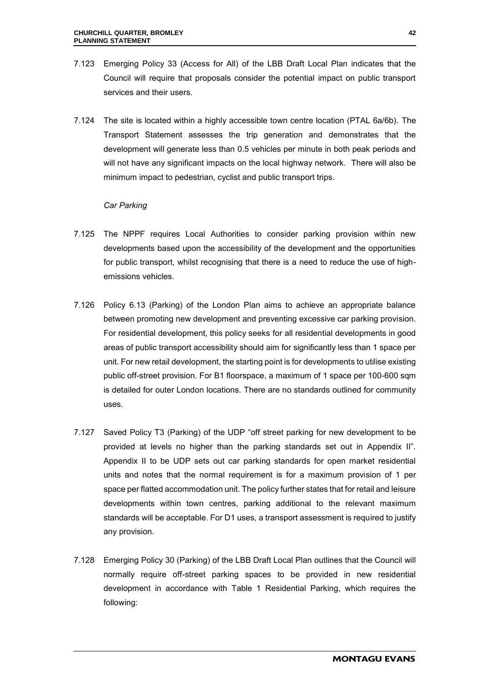- 7.123 Emerging Policy 33 (Access for All) of the LBB Draft Local Plan indicates that the Council will require that proposals consider the potential impact on public transport services and their users.
- 7.124 The site is located within a highly accessible town centre location (PTAL 6a/6b). The Transport Statement assesses the trip generation and demonstrates that the development will generate less than 0.5 vehicles per minute in both peak periods and will not have any significant impacts on the local highway network. There will also be minimum impact to pedestrian, cyclist and public transport trips.

#### *Car Parking*

- 7.125 The NPPF requires Local Authorities to consider parking provision within new developments based upon the accessibility of the development and the opportunities for public transport, whilst recognising that there is a need to reduce the use of highemissions vehicles.
- 7.126 Policy 6.13 (Parking) of the London Plan aims to achieve an appropriate balance between promoting new development and preventing excessive car parking provision. For residential development, this policy seeks for all residential developments in good areas of public transport accessibility should aim for significantly less than 1 space per unit. For new retail development, the starting point is for developments to utilise existing public off-street provision. For B1 floorspace, a maximum of 1 space per 100-600 sqm is detailed for outer London locations. There are no standards outlined for community uses.
- 7.127 Saved Policy T3 (Parking) of the UDP "off street parking for new development to be provided at levels no higher than the parking standards set out in Appendix II". Appendix II to be UDP sets out car parking standards for open market residential units and notes that the normal requirement is for a maximum provision of 1 per space per flatted accommodation unit. The policy further states that for retail and leisure developments within town centres, parking additional to the relevant maximum standards will be acceptable. For D1 uses, a transport assessment is required to justify any provision.
- 7.128 Emerging Policy 30 (Parking) of the LBB Draft Local Plan outlines that the Council will normally require off-street parking spaces to be provided in new residential development in accordance with Table 1 Residential Parking, which requires the following: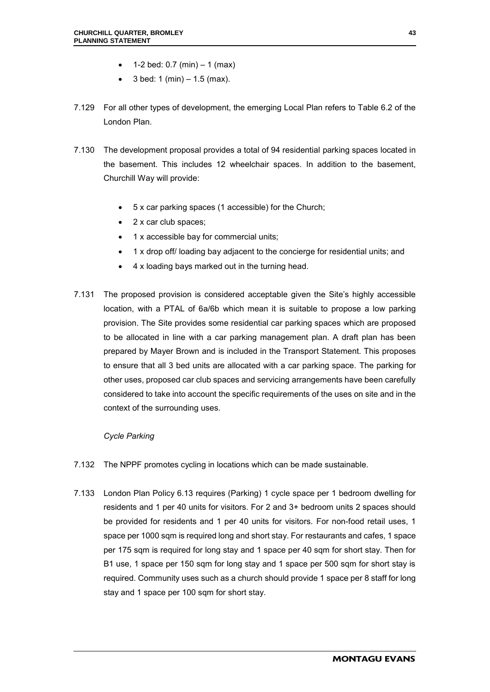- 1-2 bed: 0.7 (min) 1 (max)
- 3 bed: 1 (min) 1.5 (max).
- 7.129 For all other types of development, the emerging Local Plan refers to Table 6.2 of the London Plan.
- 7.130 The development proposal provides a total of 94 residential parking spaces located in the basement. This includes 12 wheelchair spaces. In addition to the basement, Churchill Way will provide:
	- 5 x car parking spaces (1 accessible) for the Church;
	- 2 x car club spaces;
	- 1 x accessible bay for commercial units;
	- 1 x drop off/ loading bay adjacent to the concierge for residential units; and
	- 4 x loading bays marked out in the turning head.
- 7.131 The proposed provision is considered acceptable given the Site's highly accessible location, with a PTAL of 6a/6b which mean it is suitable to propose a low parking provision. The Site provides some residential car parking spaces which are proposed to be allocated in line with a car parking management plan. A draft plan has been prepared by Mayer Brown and is included in the Transport Statement. This proposes to ensure that all 3 bed units are allocated with a car parking space. The parking for other uses, proposed car club spaces and servicing arrangements have been carefully considered to take into account the specific requirements of the uses on site and in the context of the surrounding uses.

### *Cycle Parking*

- 7.132 The NPPF promotes cycling in locations which can be made sustainable.
- 7.133 London Plan Policy 6.13 requires (Parking) 1 cycle space per 1 bedroom dwelling for residents and 1 per 40 units for visitors. For 2 and 3+ bedroom units 2 spaces should be provided for residents and 1 per 40 units for visitors. For non-food retail uses, 1 space per 1000 sqm is required long and short stay. For restaurants and cafes, 1 space per 175 sqm is required for long stay and 1 space per 40 sqm for short stay. Then for B1 use, 1 space per 150 sqm for long stay and 1 space per 500 sqm for short stay is required. Community uses such as a church should provide 1 space per 8 staff for long stay and 1 space per 100 sqm for short stay.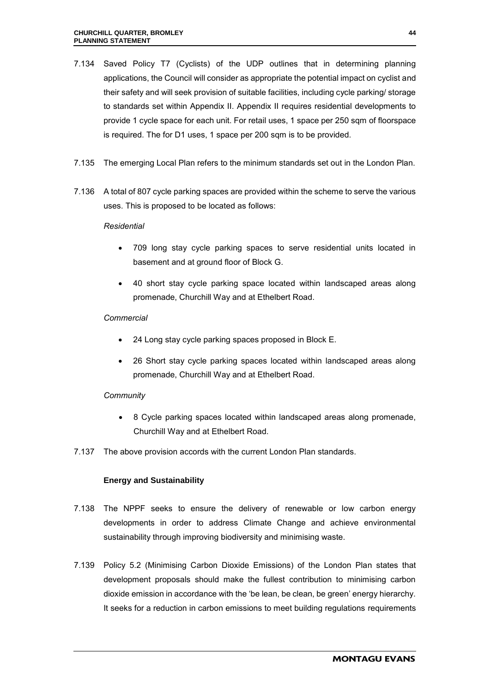- 7.134 Saved Policy T7 (Cyclists) of the UDP outlines that in determining planning applications, the Council will consider as appropriate the potential impact on cyclist and their safety and will seek provision of suitable facilities, including cycle parking/ storage to standards set within Appendix II. Appendix II requires residential developments to provide 1 cycle space for each unit. For retail uses, 1 space per 250 sqm of floorspace is required. The for D1 uses, 1 space per 200 sqm is to be provided.
- 7.135 The emerging Local Plan refers to the minimum standards set out in the London Plan.
- 7.136 A total of 807 cycle parking spaces are provided within the scheme to serve the various uses. This is proposed to be located as follows:

## *Residential*

- 709 long stay cycle parking spaces to serve residential units located in basement and at ground floor of Block G.
- 40 short stay cycle parking space located within landscaped areas along promenade, Churchill Way and at Ethelbert Road.

# *Commercial*

- 24 Long stay cycle parking spaces proposed in Block E.
- 26 Short stay cycle parking spaces located within landscaped areas along promenade, Churchill Way and at Ethelbert Road.

# *Community*

- 8 Cycle parking spaces located within landscaped areas along promenade, Churchill Way and at Ethelbert Road.
- 7.137 The above provision accords with the current London Plan standards.

# **Energy and Sustainability**

- 7.138 The NPPF seeks to ensure the delivery of renewable or low carbon energy developments in order to address Climate Change and achieve environmental sustainability through improving biodiversity and minimising waste.
- 7.139 Policy 5.2 (Minimising Carbon Dioxide Emissions) of the London Plan states that development proposals should make the fullest contribution to minimising carbon dioxide emission in accordance with the 'be lean, be clean, be green' energy hierarchy. It seeks for a reduction in carbon emissions to meet building regulations requirements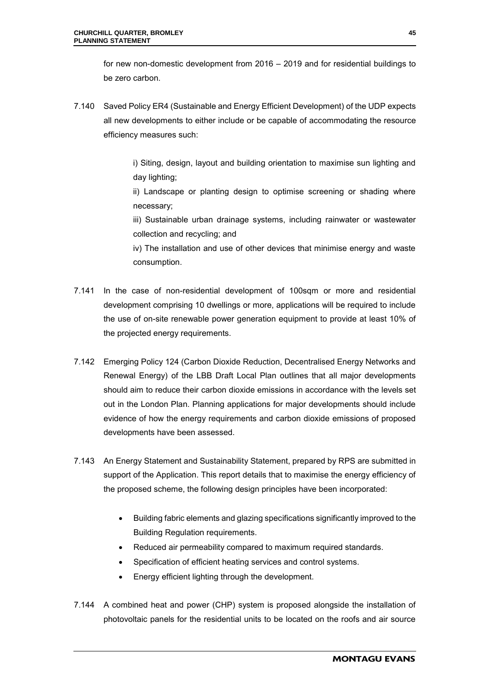for new non-domestic development from 2016 – 2019 and for residential buildings to be zero carbon.

7.140 Saved Policy ER4 (Sustainable and Energy Efficient Development) of the UDP expects all new developments to either include or be capable of accommodating the resource efficiency measures such:

> i) Siting, design, layout and building orientation to maximise sun lighting and day lighting;

> ii) Landscape or planting design to optimise screening or shading where necessary;

> iii) Sustainable urban drainage systems, including rainwater or wastewater collection and recycling; and

> iv) The installation and use of other devices that minimise energy and waste consumption.

- 7.141 In the case of non-residential development of 100sqm or more and residential development comprising 10 dwellings or more, applications will be required to include the use of on-site renewable power generation equipment to provide at least 10% of the projected energy requirements.
- 7.142 Emerging Policy 124 (Carbon Dioxide Reduction, Decentralised Energy Networks and Renewal Energy) of the LBB Draft Local Plan outlines that all major developments should aim to reduce their carbon dioxide emissions in accordance with the levels set out in the London Plan. Planning applications for major developments should include evidence of how the energy requirements and carbon dioxide emissions of proposed developments have been assessed.
- 7.143 An Energy Statement and Sustainability Statement, prepared by RPS are submitted in support of the Application. This report details that to maximise the energy efficiency of the proposed scheme, the following design principles have been incorporated:
	- Building fabric elements and glazing specifications significantly improved to the Building Regulation requirements.
	- Reduced air permeability compared to maximum required standards.
	- Specification of efficient heating services and control systems.
	- Energy efficient lighting through the development.
- 7.144 A combined heat and power (CHP) system is proposed alongside the installation of photovoltaic panels for the residential units to be located on the roofs and air source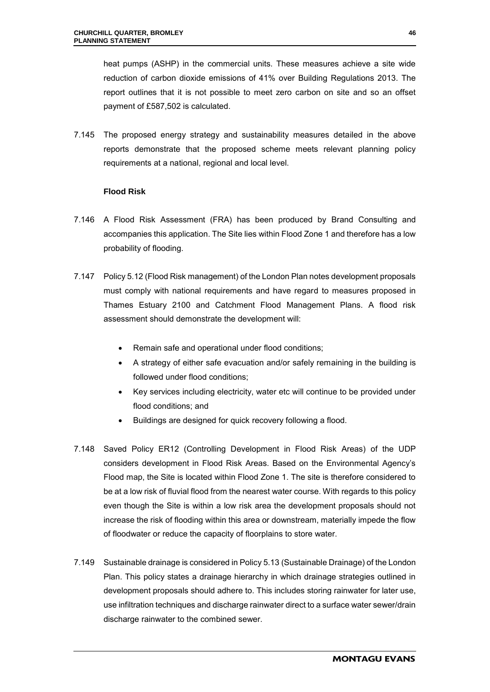heat pumps (ASHP) in the commercial units. These measures achieve a site wide reduction of carbon dioxide emissions of 41% over Building Regulations 2013. The report outlines that it is not possible to meet zero carbon on site and so an offset payment of £587,502 is calculated.

7.145 The proposed energy strategy and sustainability measures detailed in the above reports demonstrate that the proposed scheme meets relevant planning policy requirements at a national, regional and local level.

#### **Flood Risk**

- 7.146 A Flood Risk Assessment (FRA) has been produced by Brand Consulting and accompanies this application. The Site lies within Flood Zone 1 and therefore has a low probability of flooding.
- 7.147 Policy 5.12 (Flood Risk management) of the London Plan notes development proposals must comply with national requirements and have regard to measures proposed in Thames Estuary 2100 and Catchment Flood Management Plans. A flood risk assessment should demonstrate the development will:
	- Remain safe and operational under flood conditions;
	- A strategy of either safe evacuation and/or safely remaining in the building is followed under flood conditions;
	- Key services including electricity, water etc will continue to be provided under flood conditions; and
	- Buildings are designed for quick recovery following a flood.
- 7.148 Saved Policy ER12 (Controlling Development in Flood Risk Areas) of the UDP considers development in Flood Risk Areas. Based on the Environmental Agency's Flood map, the Site is located within Flood Zone 1. The site is therefore considered to be at a low risk of fluvial flood from the nearest water course. With regards to this policy even though the Site is within a low risk area the development proposals should not increase the risk of flooding within this area or downstream, materially impede the flow of floodwater or reduce the capacity of floorplains to store water.
- 7.149 Sustainable drainage is considered in Policy 5.13 (Sustainable Drainage) of the London Plan. This policy states a drainage hierarchy in which drainage strategies outlined in development proposals should adhere to. This includes storing rainwater for later use, use infiltration techniques and discharge rainwater direct to a surface water sewer/drain discharge rainwater to the combined sewer.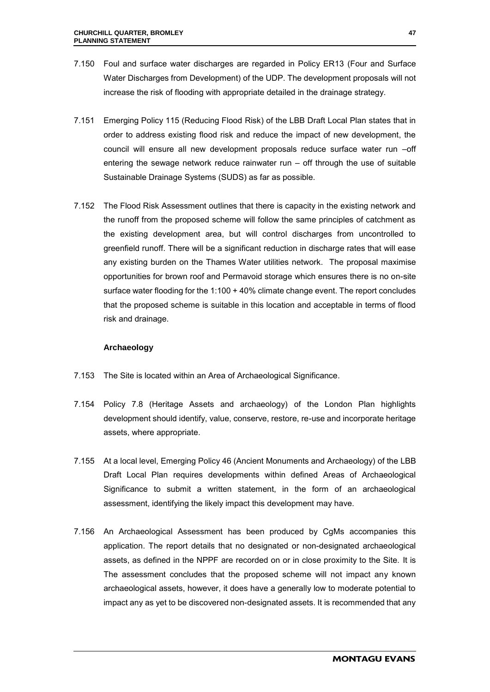- 7.150 Foul and surface water discharges are regarded in Policy ER13 (Four and Surface Water Discharges from Development) of the UDP. The development proposals will not increase the risk of flooding with appropriate detailed in the drainage strategy.
- 7.151 Emerging Policy 115 (Reducing Flood Risk) of the LBB Draft Local Plan states that in order to address existing flood risk and reduce the impact of new development, the council will ensure all new development proposals reduce surface water run –off entering the sewage network reduce rainwater run  $-$  off through the use of suitable Sustainable Drainage Systems (SUDS) as far as possible.
- 7.152 The Flood Risk Assessment outlines that there is capacity in the existing network and the runoff from the proposed scheme will follow the same principles of catchment as the existing development area, but will control discharges from uncontrolled to greenfield runoff. There will be a significant reduction in discharge rates that will ease any existing burden on the Thames Water utilities network. The proposal maximise opportunities for brown roof and Permavoid storage which ensures there is no on-site surface water flooding for the 1:100 + 40% climate change event. The report concludes that the proposed scheme is suitable in this location and acceptable in terms of flood risk and drainage.

#### **Archaeology**

- 7.153 The Site is located within an Area of Archaeological Significance.
- 7.154 Policy 7.8 (Heritage Assets and archaeology) of the London Plan highlights development should identify, value, conserve, restore, re-use and incorporate heritage assets, where appropriate.
- 7.155 At a local level, Emerging Policy 46 (Ancient Monuments and Archaeology) of the LBB Draft Local Plan requires developments within defined Areas of Archaeological Significance to submit a written statement, in the form of an archaeological assessment, identifying the likely impact this development may have.
- 7.156 An Archaeological Assessment has been produced by CgMs accompanies this application. The report details that no designated or non-designated archaeological assets, as defined in the NPPF are recorded on or in close proximity to the Site. It is The assessment concludes that the proposed scheme will not impact any known archaeological assets, however, it does have a generally low to moderate potential to impact any as yet to be discovered non-designated assets. It is recommended that any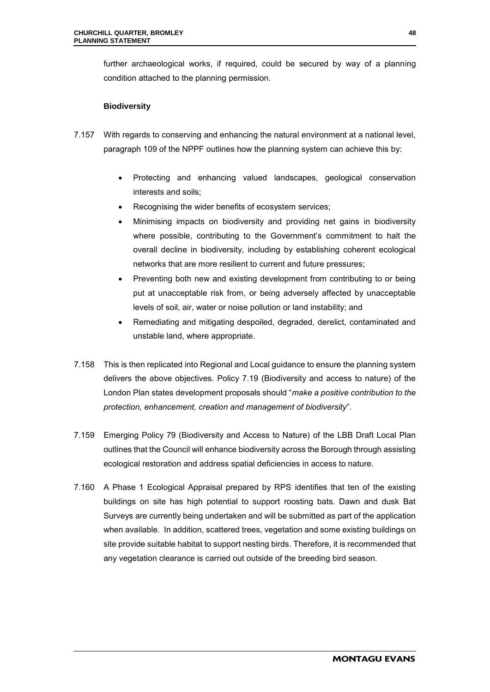further archaeological works, if required, could be secured by way of a planning condition attached to the planning permission.

#### **Biodiversity**

- 7.157 With regards to conserving and enhancing the natural environment at a national level, paragraph 109 of the NPPF outlines how the planning system can achieve this by:
	- Protecting and enhancing valued landscapes, geological conservation interests and soils;
	- Recognising the wider benefits of ecosystem services;
	- Minimising impacts on biodiversity and providing net gains in biodiversity where possible, contributing to the Government's commitment to halt the overall decline in biodiversity, including by establishing coherent ecological networks that are more resilient to current and future pressures;
	- Preventing both new and existing development from contributing to or being put at unacceptable risk from, or being adversely affected by unacceptable levels of soil, air, water or noise pollution or land instability; and
	- Remediating and mitigating despoiled, degraded, derelict, contaminated and unstable land, where appropriate.
- 7.158 This is then replicated into Regional and Local guidance to ensure the planning system delivers the above objectives. Policy 7.19 (Biodiversity and access to nature) of the London Plan states development proposals should "*make a positive contribution to the protection, enhancement, creation and management of biodiversity*".
- 7.159 Emerging Policy 79 (Biodiversity and Access to Nature) of the LBB Draft Local Plan outlines that the Council will enhance biodiversity across the Borough through assisting ecological restoration and address spatial deficiencies in access to nature.
- 7.160 A Phase 1 Ecological Appraisal prepared by RPS identifies that ten of the existing buildings on site has high potential to support roosting bats. Dawn and dusk Bat Surveys are currently being undertaken and will be submitted as part of the application when available. In addition, scattered trees, vegetation and some existing buildings on site provide suitable habitat to support nesting birds. Therefore, it is recommended that any vegetation clearance is carried out outside of the breeding bird season.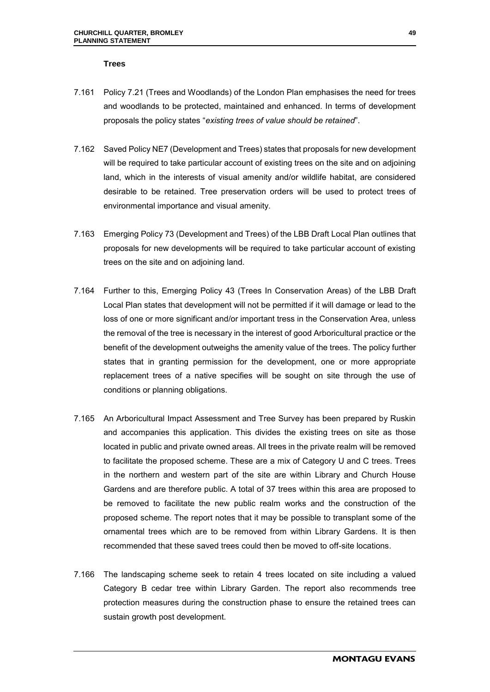#### **Trees**

- 7.161 Policy 7.21 (Trees and Woodlands) of the London Plan emphasises the need for trees and woodlands to be protected, maintained and enhanced. In terms of development proposals the policy states "*existing trees of value should be retained*".
- 7.162 Saved Policy NE7 (Development and Trees) states that proposals for new development will be required to take particular account of existing trees on the site and on adjoining land, which in the interests of visual amenity and/or wildlife habitat, are considered desirable to be retained. Tree preservation orders will be used to protect trees of environmental importance and visual amenity.
- 7.163 Emerging Policy 73 (Development and Trees) of the LBB Draft Local Plan outlines that proposals for new developments will be required to take particular account of existing trees on the site and on adjoining land.
- 7.164 Further to this, Emerging Policy 43 (Trees In Conservation Areas) of the LBB Draft Local Plan states that development will not be permitted if it will damage or lead to the loss of one or more significant and/or important tress in the Conservation Area, unless the removal of the tree is necessary in the interest of good Arboricultural practice or the benefit of the development outweighs the amenity value of the trees. The policy further states that in granting permission for the development, one or more appropriate replacement trees of a native specifies will be sought on site through the use of conditions or planning obligations.
- 7.165 An Arboricultural Impact Assessment and Tree Survey has been prepared by Ruskin and accompanies this application. This divides the existing trees on site as those located in public and private owned areas. All trees in the private realm will be removed to facilitate the proposed scheme. These are a mix of Category U and C trees. Trees in the northern and western part of the site are within Library and Church House Gardens and are therefore public. A total of 37 trees within this area are proposed to be removed to facilitate the new public realm works and the construction of the proposed scheme. The report notes that it may be possible to transplant some of the ornamental trees which are to be removed from within Library Gardens. It is then recommended that these saved trees could then be moved to off-site locations.
- 7.166 The landscaping scheme seek to retain 4 trees located on site including a valued Category B cedar tree within Library Garden. The report also recommends tree protection measures during the construction phase to ensure the retained trees can sustain growth post development.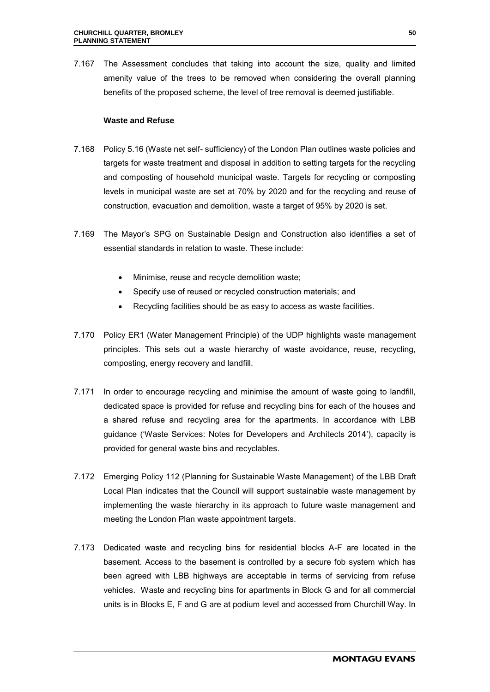7.167 The Assessment concludes that taking into account the size, quality and limited amenity value of the trees to be removed when considering the overall planning benefits of the proposed scheme, the level of tree removal is deemed justifiable.

#### **Waste and Refuse**

- 7.168 Policy 5.16 (Waste net self- sufficiency) of the London Plan outlines waste policies and targets for waste treatment and disposal in addition to setting targets for the recycling and composting of household municipal waste. Targets for recycling or composting levels in municipal waste are set at 70% by 2020 and for the recycling and reuse of construction, evacuation and demolition, waste a target of 95% by 2020 is set.
- 7.169 The Mayor's SPG on Sustainable Design and Construction also identifies a set of essential standards in relation to waste. These include:
	- Minimise, reuse and recycle demolition waste;
	- Specify use of reused or recycled construction materials; and
	- Recycling facilities should be as easy to access as waste facilities.
- 7.170 Policy ER1 (Water Management Principle) of the UDP highlights waste management principles. This sets out a waste hierarchy of waste avoidance, reuse, recycling, composting, energy recovery and landfill.
- 7.171 In order to encourage recycling and minimise the amount of waste going to landfill, dedicated space is provided for refuse and recycling bins for each of the houses and a shared refuse and recycling area for the apartments. In accordance with LBB guidance ('Waste Services: Notes for Developers and Architects 2014'), capacity is provided for general waste bins and recyclables.
- 7.172 Emerging Policy 112 (Planning for Sustainable Waste Management) of the LBB Draft Local Plan indicates that the Council will support sustainable waste management by implementing the waste hierarchy in its approach to future waste management and meeting the London Plan waste appointment targets.
- 7.173 Dedicated waste and recycling bins for residential blocks A-F are located in the basement. Access to the basement is controlled by a secure fob system which has been agreed with LBB highways are acceptable in terms of servicing from refuse vehicles. Waste and recycling bins for apartments in Block G and for all commercial units is in Blocks E, F and G are at podium level and accessed from Churchill Way. In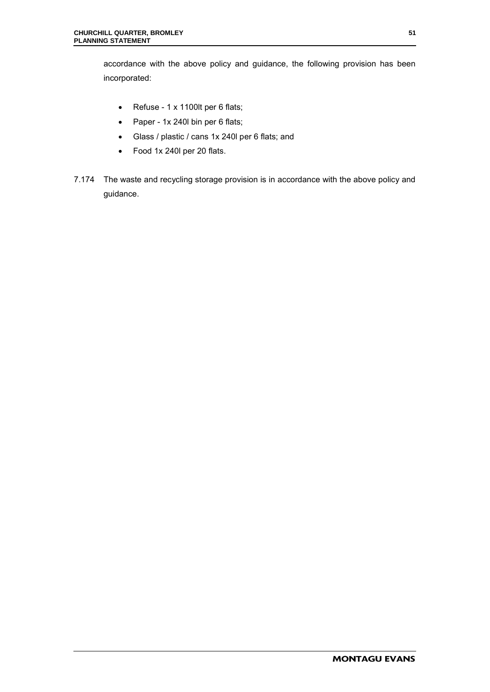accordance with the above policy and guidance, the following provision has been incorporated:

- Refuse 1 x 1100lt per 6 flats;
- Paper 1x 240l bin per 6 flats;
- Glass / plastic / cans 1x 240l per 6 flats; and
- Food 1x 240l per 20 flats.
- 7.174 The waste and recycling storage provision is in accordance with the above policy and guidance.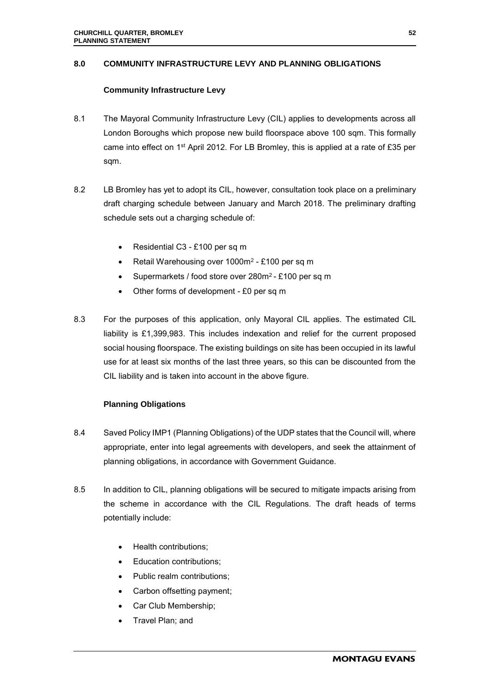#### **8.0 COMMUNITY INFRASTRUCTURE LEVY AND PLANNING OBLIGATIONS**

#### **Community Infrastructure Levy**

- 8.1 The Mayoral Community Infrastructure Levy (CIL) applies to developments across all London Boroughs which propose new build floorspace above 100 sqm. This formally came into effect on  $1<sup>st</sup>$  April 2012. For LB Bromley, this is applied at a rate of £35 per sqm.
- 8.2 LB Bromley has yet to adopt its CIL, however, consultation took place on a preliminary draft charging schedule between January and March 2018. The preliminary drafting schedule sets out a charging schedule of:
	- Residential C3 £100 per sq m
	- Retail Warehousing over  $1000m^2$  £100 per sq m
	- Supermarkets / food store over 280m<sup>2</sup> £100 per sq m
	- Other forms of development £0 per sq m
- 8.3 For the purposes of this application, only Mayoral CIL applies. The estimated CIL liability is £1,399,983. This includes indexation and relief for the current proposed social housing floorspace. The existing buildings on site has been occupied in its lawful use for at least six months of the last three years, so this can be discounted from the CIL liability and is taken into account in the above figure.

#### **Planning Obligations**

- 8.4 Saved Policy IMP1 (Planning Obligations) of the UDP states that the Council will, where appropriate, enter into legal agreements with developers, and seek the attainment of planning obligations, in accordance with Government Guidance.
- 8.5 In addition to CIL, planning obligations will be secured to mitigate impacts arising from the scheme in accordance with the CIL Regulations. The draft heads of terms potentially include:
	- Health contributions;
	- Education contributions;
	- Public realm contributions;
	- Carbon offsetting payment;
	- Car Club Membership;
	- Travel Plan; and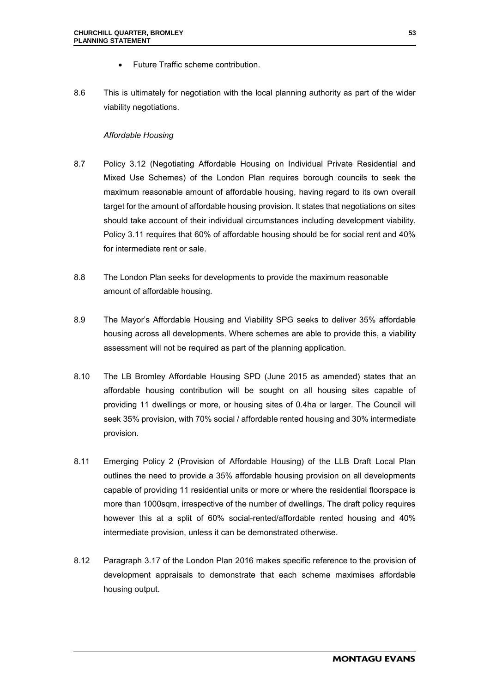- Future Traffic scheme contribution.
- 8.6 This is ultimately for negotiation with the local planning authority as part of the wider viability negotiations.

### *Affordable Housing*

- 8.7 Policy 3.12 (Negotiating Affordable Housing on Individual Private Residential and Mixed Use Schemes) of the London Plan requires borough councils to seek the maximum reasonable amount of affordable housing, having regard to its own overall target for the amount of affordable housing provision. It states that negotiations on sites should take account of their individual circumstances including development viability. Policy 3.11 requires that 60% of affordable housing should be for social rent and 40% for intermediate rent or sale.
- 8.8 The London Plan seeks for developments to provide the maximum reasonable amount of affordable housing.
- 8.9 The Mayor's Affordable Housing and Viability SPG seeks to deliver 35% affordable housing across all developments. Where schemes are able to provide this, a viability assessment will not be required as part of the planning application.
- 8.10 The LB Bromley Affordable Housing SPD (June 2015 as amended) states that an affordable housing contribution will be sought on all housing sites capable of providing 11 dwellings or more, or housing sites of 0.4ha or larger. The Council will seek 35% provision, with 70% social / affordable rented housing and 30% intermediate provision.
- 8.11 Emerging Policy 2 (Provision of Affordable Housing) of the LLB Draft Local Plan outlines the need to provide a 35% affordable housing provision on all developments capable of providing 11 residential units or more or where the residential floorspace is more than 1000sqm, irrespective of the number of dwellings. The draft policy requires however this at a split of 60% social-rented/affordable rented housing and 40% intermediate provision, unless it can be demonstrated otherwise.
- 8.12 Paragraph 3.17 of the London Plan 2016 makes specific reference to the provision of development appraisals to demonstrate that each scheme maximises affordable housing output.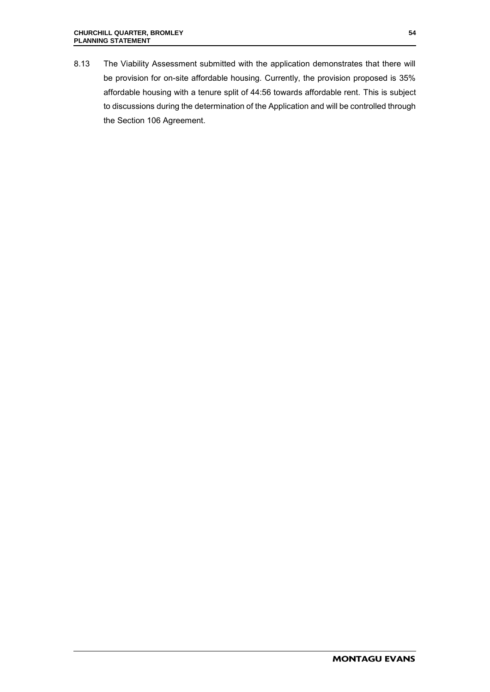8.13 The Viability Assessment submitted with the application demonstrates that there will be provision for on-site affordable housing. Currently, the provision proposed is 35% affordable housing with a tenure split of 44:56 towards affordable rent. This is subject to discussions during the determination of the Application and will be controlled through the Section 106 Agreement.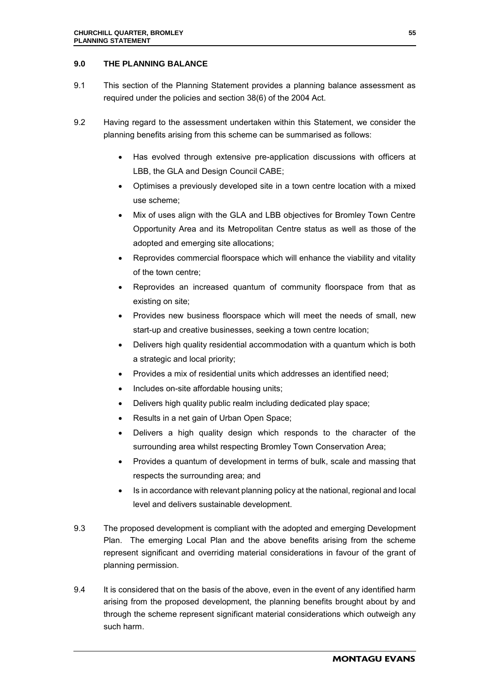#### **9.0 THE PLANNING BALANCE**

- 9.1 This section of the Planning Statement provides a planning balance assessment as required under the policies and section 38(6) of the 2004 Act.
- 9.2 Having regard to the assessment undertaken within this Statement, we consider the planning benefits arising from this scheme can be summarised as follows:
	- Has evolved through extensive pre-application discussions with officers at LBB, the GLA and Design Council CABE;
	- Optimises a previously developed site in a town centre location with a mixed use scheme;
	- Mix of uses align with the GLA and LBB objectives for Bromley Town Centre Opportunity Area and its Metropolitan Centre status as well as those of the adopted and emerging site allocations;
	- Reprovides commercial floorspace which will enhance the viability and vitality of the town centre;
	- Reprovides an increased quantum of community floorspace from that as existing on site;
	- Provides new business floorspace which will meet the needs of small, new start-up and creative businesses, seeking a town centre location;
	- Delivers high quality residential accommodation with a quantum which is both a strategic and local priority;
	- Provides a mix of residential units which addresses an identified need;
	- Includes on-site affordable housing units;
	- Delivers high quality public realm including dedicated play space;
	- Results in a net gain of Urban Open Space;
	- Delivers a high quality design which responds to the character of the surrounding area whilst respecting Bromley Town Conservation Area;
	- Provides a quantum of development in terms of bulk, scale and massing that respects the surrounding area; and
	- Is in accordance with relevant planning policy at the national, regional and local level and delivers sustainable development.
- 9.3 The proposed development is compliant with the adopted and emerging Development Plan. The emerging Local Plan and the above benefits arising from the scheme represent significant and overriding material considerations in favour of the grant of planning permission.
- 9.4 It is considered that on the basis of the above, even in the event of any identified harm arising from the proposed development, the planning benefits brought about by and through the scheme represent significant material considerations which outweigh any such harm.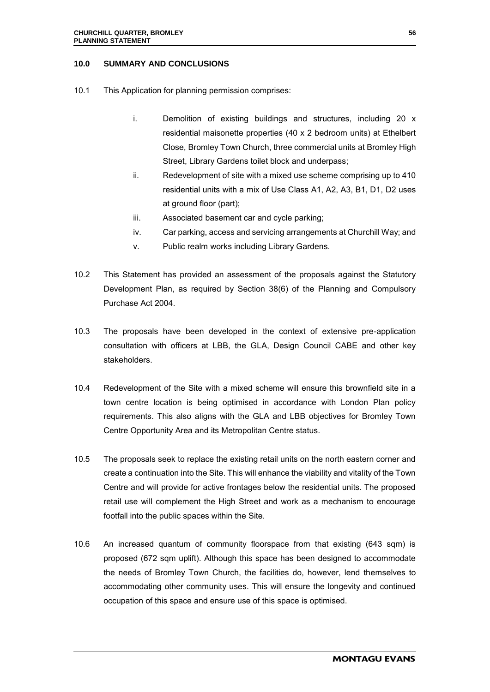#### **10.0 SUMMARY AND CONCLUSIONS**

- 10.1 This Application for planning permission comprises:
	- i. Demolition of existing buildings and structures, including 20 x residential maisonette properties (40 x 2 bedroom units) at Ethelbert Close, Bromley Town Church, three commercial units at Bromley High Street, Library Gardens toilet block and underpass;
	- ii. Redevelopment of site with a mixed use scheme comprising up to 410 residential units with a mix of Use Class A1, A2, A3, B1, D1, D2 uses at ground floor (part);
	- iii. Associated basement car and cycle parking;
	- iv. Car parking, access and servicing arrangements at Churchill Way; and
	- v. Public realm works including Library Gardens.
- 10.2 This Statement has provided an assessment of the proposals against the Statutory Development Plan, as required by Section 38(6) of the Planning and Compulsory Purchase Act 2004.
- 10.3 The proposals have been developed in the context of extensive pre-application consultation with officers at LBB, the GLA, Design Council CABE and other key stakeholders.
- 10.4 Redevelopment of the Site with a mixed scheme will ensure this brownfield site in a town centre location is being optimised in accordance with London Plan policy requirements. This also aligns with the GLA and LBB objectives for Bromley Town Centre Opportunity Area and its Metropolitan Centre status.
- 10.5 The proposals seek to replace the existing retail units on the north eastern corner and create a continuation into the Site. This will enhance the viability and vitality of the Town Centre and will provide for active frontages below the residential units. The proposed retail use will complement the High Street and work as a mechanism to encourage footfall into the public spaces within the Site.
- 10.6 An increased quantum of community floorspace from that existing (643 sqm) is proposed (672 sqm uplift). Although this space has been designed to accommodate the needs of Bromley Town Church, the facilities do, however, lend themselves to accommodating other community uses. This will ensure the longevity and continued occupation of this space and ensure use of this space is optimised.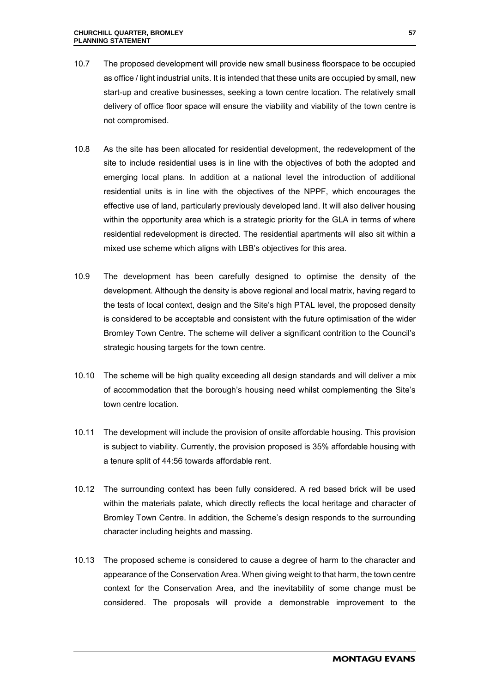- 10.7 The proposed development will provide new small business floorspace to be occupied as office / light industrial units. It is intended that these units are occupied by small, new start-up and creative businesses, seeking a town centre location. The relatively small delivery of office floor space will ensure the viability and viability of the town centre is not compromised.
- 10.8 As the site has been allocated for residential development, the redevelopment of the site to include residential uses is in line with the objectives of both the adopted and emerging local plans. In addition at a national level the introduction of additional residential units is in line with the objectives of the NPPF, which encourages the effective use of land, particularly previously developed land. It will also deliver housing within the opportunity area which is a strategic priority for the GLA in terms of where residential redevelopment is directed. The residential apartments will also sit within a mixed use scheme which aligns with LBB's objectives for this area.
- 10.9 The development has been carefully designed to optimise the density of the development. Although the density is above regional and local matrix, having regard to the tests of local context, design and the Site's high PTAL level, the proposed density is considered to be acceptable and consistent with the future optimisation of the wider Bromley Town Centre. The scheme will deliver a significant contrition to the Council's strategic housing targets for the town centre.
- 10.10 The scheme will be high quality exceeding all design standards and will deliver a mix of accommodation that the borough's housing need whilst complementing the Site's town centre location.
- 10.11 The development will include the provision of onsite affordable housing. This provision is subject to viability. Currently, the provision proposed is 35% affordable housing with a tenure split of 44:56 towards affordable rent.
- 10.12 The surrounding context has been fully considered. A red based brick will be used within the materials palate, which directly reflects the local heritage and character of Bromley Town Centre. In addition, the Scheme's design responds to the surrounding character including heights and massing.
- 10.13 The proposed scheme is considered to cause a degree of harm to the character and appearance of the Conservation Area. When giving weight to that harm, the town centre context for the Conservation Area, and the inevitability of some change must be considered. The proposals will provide a demonstrable improvement to the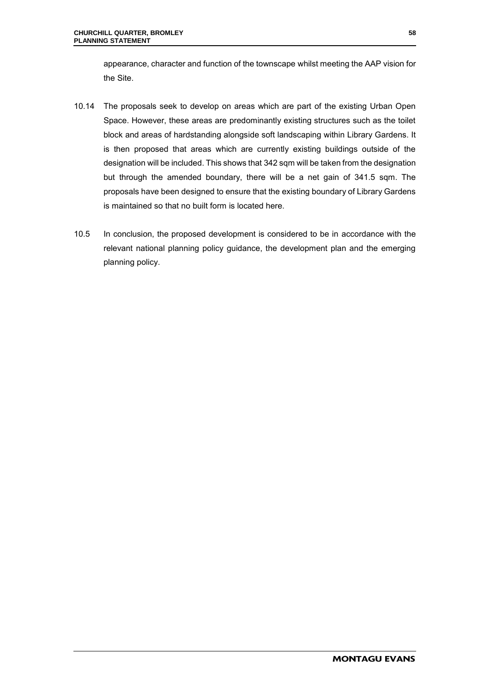appearance, character and function of the townscape whilst meeting the AAP vision for the Site.

- 10.14 The proposals seek to develop on areas which are part of the existing Urban Open Space. However, these areas are predominantly existing structures such as the toilet block and areas of hardstanding alongside soft landscaping within Library Gardens. It is then proposed that areas which are currently existing buildings outside of the designation will be included. This shows that 342 sqm will be taken from the designation but through the amended boundary, there will be a net gain of 341.5 sqm. The proposals have been designed to ensure that the existing boundary of Library Gardens is maintained so that no built form is located here.
- 10.5 In conclusion, the proposed development is considered to be in accordance with the relevant national planning policy guidance, the development plan and the emerging planning policy.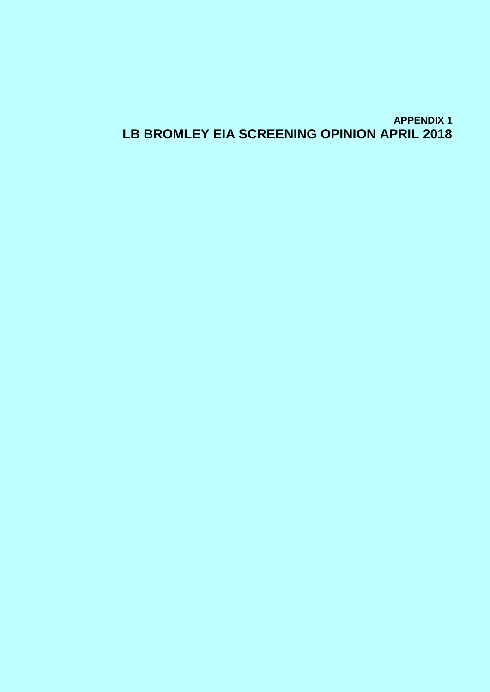# **APPENDIX 1 LB BROMLEY EIA SCREENING OPINION APRIL 2018**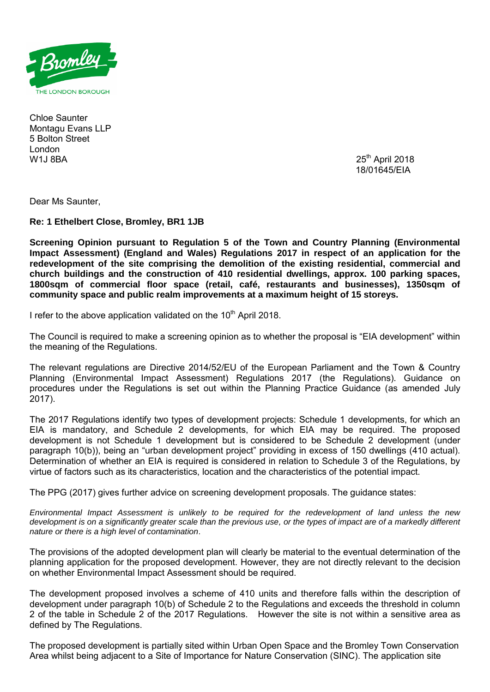

Chloe Saunter Montagu Evans LLP 5 Bolton Street London<br>W1.I 8BA

 $25<sup>th</sup>$  April 2018 18/01645/EIA

Dear Ms Saunter,

**Re: 1 Ethelbert Close, Bromley, BR1 1JB** 

**Screening Opinion pursuant to Regulation 5 of the Town and Country Planning (Environmental Impact Assessment) (England and Wales) Regulations 2017 in respect of an application for the redevelopment of the site comprising the demolition of the existing residential, commercial and church buildings and the construction of 410 residential dwellings, approx. 100 parking spaces, 1800sqm of commercial floor space (retail, café, restaurants and businesses), 1350sqm of community space and public realm improvements at a maximum height of 15 storeys.** 

I refer to the above application validated on the  $10<sup>th</sup>$  April 2018.

The Council is required to make a screening opinion as to whether the proposal is "EIA development" within the meaning of the Regulations.

The relevant regulations are Directive 2014/52/EU of the European Parliament and the Town & Country Planning (Environmental Impact Assessment) Regulations 2017 (the Regulations). Guidance on procedures under the Regulations is set out within the Planning Practice Guidance (as amended July 2017).

The 2017 Regulations identify two types of development projects: Schedule 1 developments, for which an EIA is mandatory, and Schedule 2 developments, for which EIA may be required. The proposed development is not Schedule 1 development but is considered to be Schedule 2 development (under paragraph 10(b)), being an "urban development project" providing in excess of 150 dwellings (410 actual). Determination of whether an EIA is required is considered in relation to Schedule 3 of the Regulations, by virtue of factors such as its characteristics, location and the characteristics of the potential impact.

The PPG (2017) gives further advice on screening development proposals. The guidance states:

*Environmental Impact Assessment is unlikely to be required for the redevelopment of land unless the new development is on a significantly greater scale than the previous use, or the types of impact are of a markedly different nature or there is a high level of contamination*.

The provisions of the adopted development plan will clearly be material to the eventual determination of the planning application for the proposed development. However, they are not directly relevant to the decision on whether Environmental Impact Assessment should be required.

The development proposed involves a scheme of 410 units and therefore falls within the description of development under paragraph 10(b) of Schedule 2 to the Regulations and exceeds the threshold in column 2 of the table in Schedule 2 of the 2017 Regulations. However the site is not within a sensitive area as defined by The Regulations.

The proposed development is partially sited within Urban Open Space and the Bromley Town Conservation Area whilst being adjacent to a Site of Importance for Nature Conservation (SINC). The application site